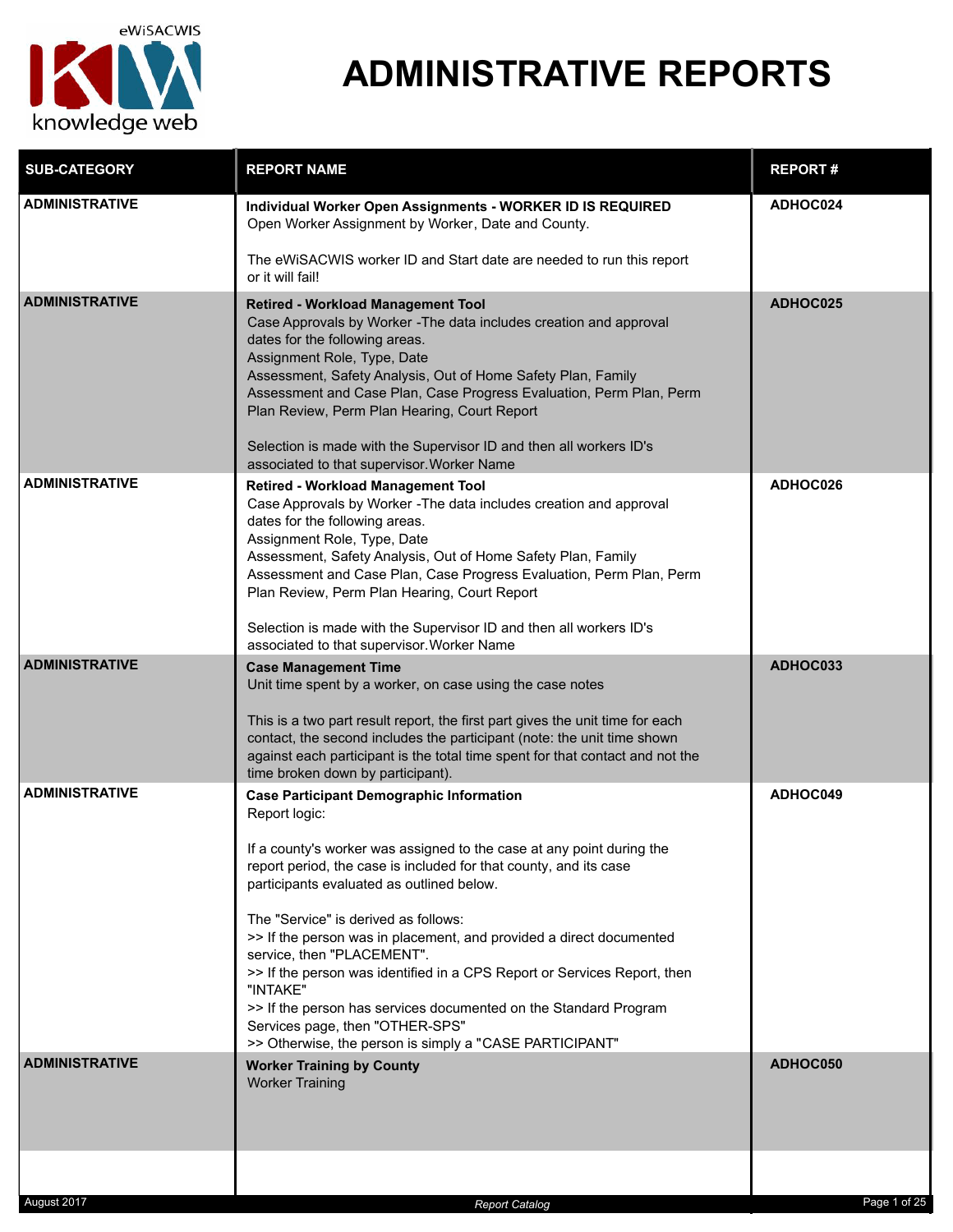

| <b>SUB-CATEGORY</b>   | <b>REPORT NAME</b>                                                                                                                                                                                                                                                                                                                                                                                                                                                                                                                                                                                                                                                 | <b>REPORT#</b> |
|-----------------------|--------------------------------------------------------------------------------------------------------------------------------------------------------------------------------------------------------------------------------------------------------------------------------------------------------------------------------------------------------------------------------------------------------------------------------------------------------------------------------------------------------------------------------------------------------------------------------------------------------------------------------------------------------------------|----------------|
| <b>ADMINISTRATIVE</b> | Individual Worker Open Assignments - WORKER ID IS REQUIRED<br>Open Worker Assignment by Worker, Date and County.<br>The eWiSACWIS worker ID and Start date are needed to run this report                                                                                                                                                                                                                                                                                                                                                                                                                                                                           | ADHOC024       |
|                       | or it will fail!                                                                                                                                                                                                                                                                                                                                                                                                                                                                                                                                                                                                                                                   |                |
| <b>ADMINISTRATIVE</b> | <b>Retired - Workload Management Tool</b><br>Case Approvals by Worker - The data includes creation and approval<br>dates for the following areas.<br>Assignment Role, Type, Date<br>Assessment, Safety Analysis, Out of Home Safety Plan, Family<br>Assessment and Case Plan, Case Progress Evaluation, Perm Plan, Perm<br>Plan Review, Perm Plan Hearing, Court Report<br>Selection is made with the Supervisor ID and then all workers ID's<br>associated to that supervisor. Worker Name                                                                                                                                                                        | ADHOC025       |
| <b>ADMINISTRATIVE</b> | <b>Retired - Workload Management Tool</b><br>Case Approvals by Worker - The data includes creation and approval<br>dates for the following areas.<br>Assignment Role, Type, Date<br>Assessment, Safety Analysis, Out of Home Safety Plan, Family<br>Assessment and Case Plan, Case Progress Evaluation, Perm Plan, Perm<br>Plan Review, Perm Plan Hearing, Court Report<br>Selection is made with the Supervisor ID and then all workers ID's<br>associated to that supervisor. Worker Name                                                                                                                                                                        | ADHOC026       |
| <b>ADMINISTRATIVE</b> | <b>Case Management Time</b>                                                                                                                                                                                                                                                                                                                                                                                                                                                                                                                                                                                                                                        | ADHOC033       |
|                       | Unit time spent by a worker, on case using the case notes<br>This is a two part result report, the first part gives the unit time for each<br>contact, the second includes the participant (note: the unit time shown<br>against each participant is the total time spent for that contact and not the<br>time broken down by participant).                                                                                                                                                                                                                                                                                                                        |                |
| <b>ADMINISTRATIVE</b> | <b>Case Participant Demographic Information</b><br>Report logic:<br>If a county's worker was assigned to the case at any point during the<br>report period, the case is included for that county, and its case<br>participants evaluated as outlined below.<br>The "Service" is derived as follows:<br>>> If the person was in placement, and provided a direct documented<br>service, then "PLACEMENT".<br>>> If the person was identified in a CPS Report or Services Report, then<br>"INTAKE"<br>>> If the person has services documented on the Standard Program<br>Services page, then "OTHER-SPS"<br>>> Otherwise, the person is simply a "CASE PARTICIPANT" | ADHOC049       |
| <b>ADMINISTRATIVE</b> | <b>Worker Training by County</b><br><b>Worker Training</b>                                                                                                                                                                                                                                                                                                                                                                                                                                                                                                                                                                                                         | ADHOC050       |
|                       |                                                                                                                                                                                                                                                                                                                                                                                                                                                                                                                                                                                                                                                                    |                |
| August 2017           | <b>Report Catalog</b>                                                                                                                                                                                                                                                                                                                                                                                                                                                                                                                                                                                                                                              | Page 1 of 25   |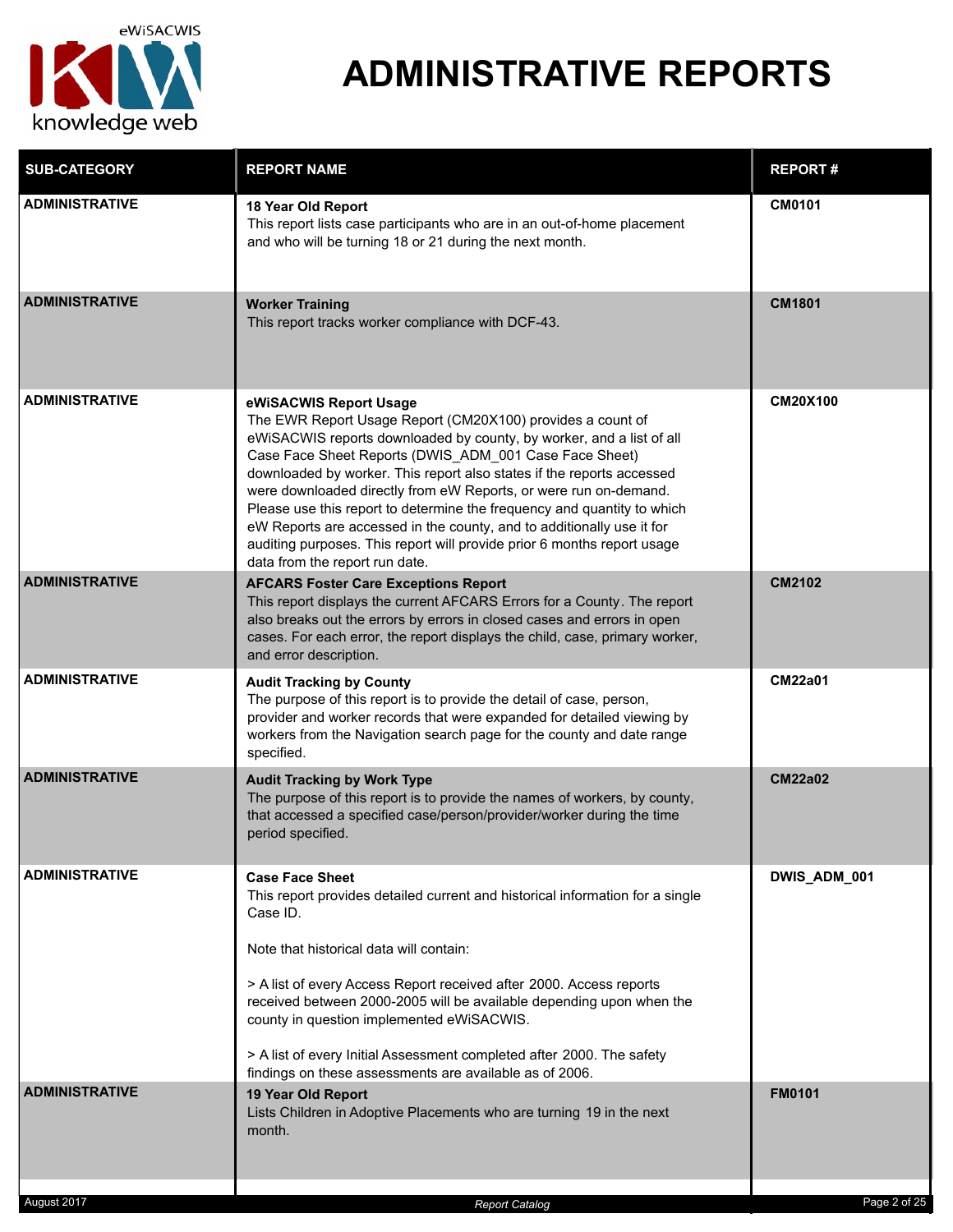

| <b>SUB-CATEGORY</b>   | <b>REPORT NAME</b>                                                                                                                                                                                                                                                                                                                                                                                                                                                                                                                                                                                                                   | <b>REPORT#</b>  |
|-----------------------|--------------------------------------------------------------------------------------------------------------------------------------------------------------------------------------------------------------------------------------------------------------------------------------------------------------------------------------------------------------------------------------------------------------------------------------------------------------------------------------------------------------------------------------------------------------------------------------------------------------------------------------|-----------------|
| ADMINISTRATIVE        | 18 Year Old Report<br>This report lists case participants who are in an out-of-home placement<br>and who will be turning 18 or 21 during the next month.                                                                                                                                                                                                                                                                                                                                                                                                                                                                             | <b>CM0101</b>   |
| <b>ADMINISTRATIVE</b> | <b>Worker Training</b><br>This report tracks worker compliance with DCF-43.                                                                                                                                                                                                                                                                                                                                                                                                                                                                                                                                                          | <b>CM1801</b>   |
| <b>ADMINISTRATIVE</b> | eWiSACWIS Report Usage<br>The EWR Report Usage Report (CM20X100) provides a count of<br>eWiSACWIS reports downloaded by county, by worker, and a list of all<br>Case Face Sheet Reports (DWIS_ADM_001 Case Face Sheet)<br>downloaded by worker. This report also states if the reports accessed<br>were downloaded directly from eW Reports, or were run on-demand.<br>Please use this report to determine the frequency and quantity to which<br>eW Reports are accessed in the county, and to additionally use it for<br>auditing purposes. This report will provide prior 6 months report usage<br>data from the report run date. | <b>CM20X100</b> |
| <b>ADMINISTRATIVE</b> | <b>AFCARS Foster Care Exceptions Report</b><br>This report displays the current AFCARS Errors for a County. The report<br>also breaks out the errors by errors in closed cases and errors in open<br>cases. For each error, the report displays the child, case, primary worker,<br>and error description.                                                                                                                                                                                                                                                                                                                           | CM2102          |
| <b>ADMINISTRATIVE</b> | <b>Audit Tracking by County</b><br>The purpose of this report is to provide the detail of case, person,<br>provider and worker records that were expanded for detailed viewing by<br>workers from the Navigation search page for the county and date range<br>specified.                                                                                                                                                                                                                                                                                                                                                             | <b>CM22a01</b>  |
| <b>ADMINISTRATIVE</b> | <b>Audit Tracking by Work Type</b><br>The purpose of this report is to provide the names of workers, by county,<br>that accessed a specified case/person/provider/worker during the time<br>period specified.                                                                                                                                                                                                                                                                                                                                                                                                                        | <b>CM22a02</b>  |
| <b>ADMINISTRATIVE</b> | <b>Case Face Sheet</b><br>This report provides detailed current and historical information for a single<br>Case ID.<br>Note that historical data will contain:<br>> A list of every Access Report received after 2000. Access reports<br>received between 2000-2005 will be available depending upon when the<br>county in question implemented eWiSACWIS.<br>> A list of every Initial Assessment completed after 2000. The safety<br>findings on these assessments are available as of 2006.                                                                                                                                       | DWIS_ADM_001    |
| <b>ADMINISTRATIVE</b> | 19 Year Old Report<br>Lists Children in Adoptive Placements who are turning 19 in the next<br>month.                                                                                                                                                                                                                                                                                                                                                                                                                                                                                                                                 | <b>FM0101</b>   |
| August 2017           | <b>Report Catalog</b>                                                                                                                                                                                                                                                                                                                                                                                                                                                                                                                                                                                                                | Page 2 of 25    |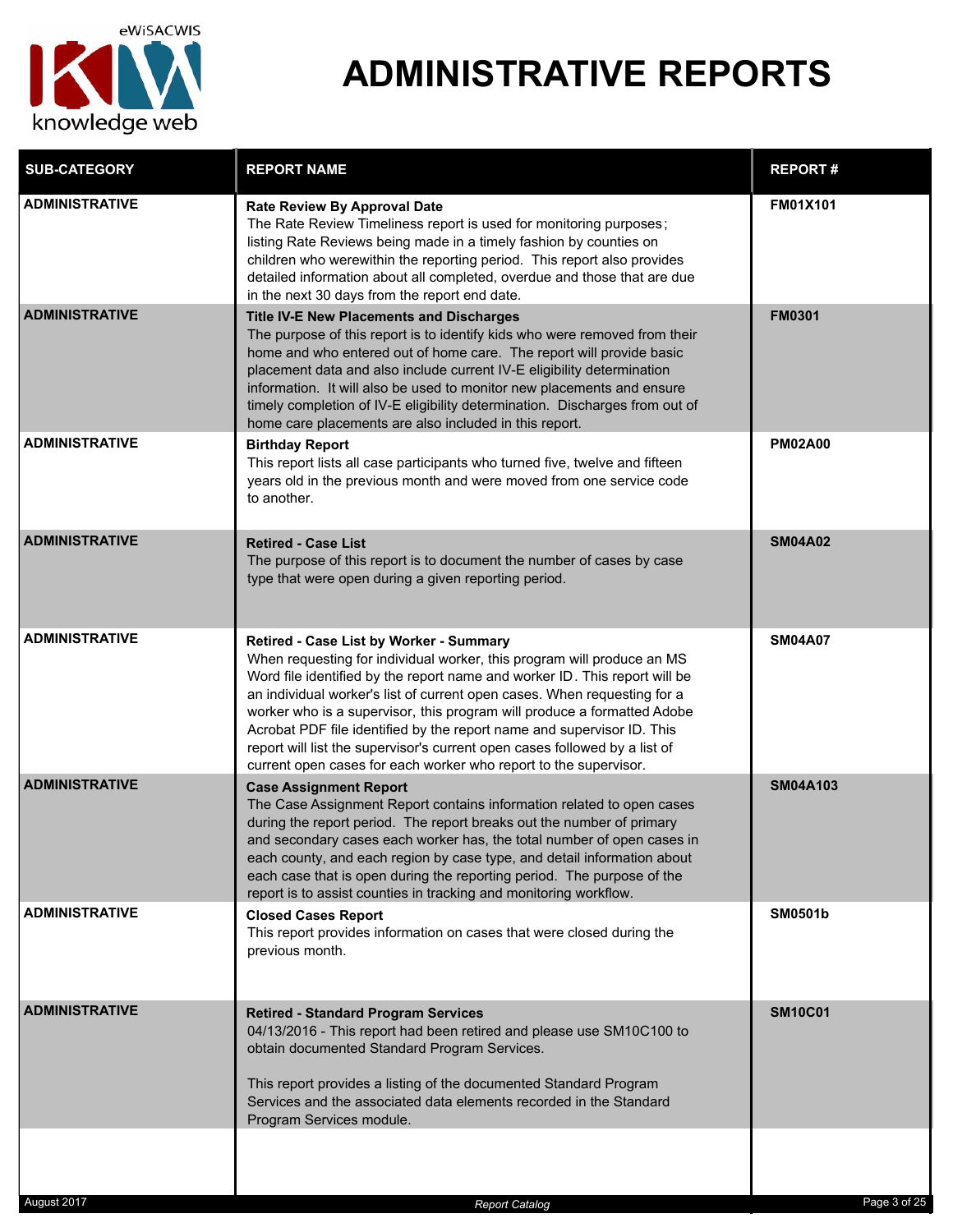

| <b>SUB-CATEGORY</b>   | <b>REPORT NAME</b>                                                                                                                                                                                                                                                                                                                                                                                                                                                                                                                                                                 | <b>REPORT#</b>  |
|-----------------------|------------------------------------------------------------------------------------------------------------------------------------------------------------------------------------------------------------------------------------------------------------------------------------------------------------------------------------------------------------------------------------------------------------------------------------------------------------------------------------------------------------------------------------------------------------------------------------|-----------------|
| <b>ADMINISTRATIVE</b> | <b>Rate Review By Approval Date</b><br>The Rate Review Timeliness report is used for monitoring purposes;<br>listing Rate Reviews being made in a timely fashion by counties on<br>children who werewithin the reporting period. This report also provides<br>detailed information about all completed, overdue and those that are due<br>in the next 30 days from the report end date.                                                                                                                                                                                            | <b>FM01X101</b> |
| <b>ADMINISTRATIVE</b> | <b>Title IV-E New Placements and Discharges</b><br>The purpose of this report is to identify kids who were removed from their<br>home and who entered out of home care. The report will provide basic<br>placement data and also include current IV-E eligibility determination<br>information. It will also be used to monitor new placements and ensure<br>timely completion of IV-E eligibility determination. Discharges from out of<br>home care placements are also included in this report.                                                                                 | <b>FM0301</b>   |
| <b>ADMINISTRATIVE</b> | <b>Birthday Report</b><br>This report lists all case participants who turned five, twelve and fifteen<br>years old in the previous month and were moved from one service code<br>to another.                                                                                                                                                                                                                                                                                                                                                                                       | <b>PM02A00</b>  |
| <b>ADMINISTRATIVE</b> | <b>Retired - Case List</b><br>The purpose of this report is to document the number of cases by case<br>type that were open during a given reporting period.                                                                                                                                                                                                                                                                                                                                                                                                                        | <b>SM04A02</b>  |
| <b>ADMINISTRATIVE</b> | Retired - Case List by Worker - Summary<br>When requesting for individual worker, this program will produce an MS<br>Word file identified by the report name and worker ID. This report will be<br>an individual worker's list of current open cases. When requesting for a<br>worker who is a supervisor, this program will produce a formatted Adobe<br>Acrobat PDF file identified by the report name and supervisor ID. This<br>report will list the supervisor's current open cases followed by a list of<br>current open cases for each worker who report to the supervisor. | <b>SM04A07</b>  |
| <b>ADMINISTRATIVE</b> | <b>Case Assignment Report</b><br>The Case Assignment Report contains information related to open cases<br>during the report period. The report breaks out the number of primary<br>and secondary cases each worker has, the total number of open cases in<br>each county, and each region by case type, and detail information about<br>each case that is open during the reporting period. The purpose of the<br>report is to assist counties in tracking and monitoring workflow.                                                                                                | <b>SM04A103</b> |
| <b>ADMINISTRATIVE</b> | <b>Closed Cases Report</b><br>This report provides information on cases that were closed during the<br>previous month.                                                                                                                                                                                                                                                                                                                                                                                                                                                             | <b>SM0501b</b>  |
| <b>ADMINISTRATIVE</b> | <b>Retired - Standard Program Services</b><br>04/13/2016 - This report had been retired and please use SM10C100 to<br>obtain documented Standard Program Services.<br>This report provides a listing of the documented Standard Program<br>Services and the associated data elements recorded in the Standard<br>Program Services module.                                                                                                                                                                                                                                          | <b>SM10C01</b>  |
|                       |                                                                                                                                                                                                                                                                                                                                                                                                                                                                                                                                                                                    |                 |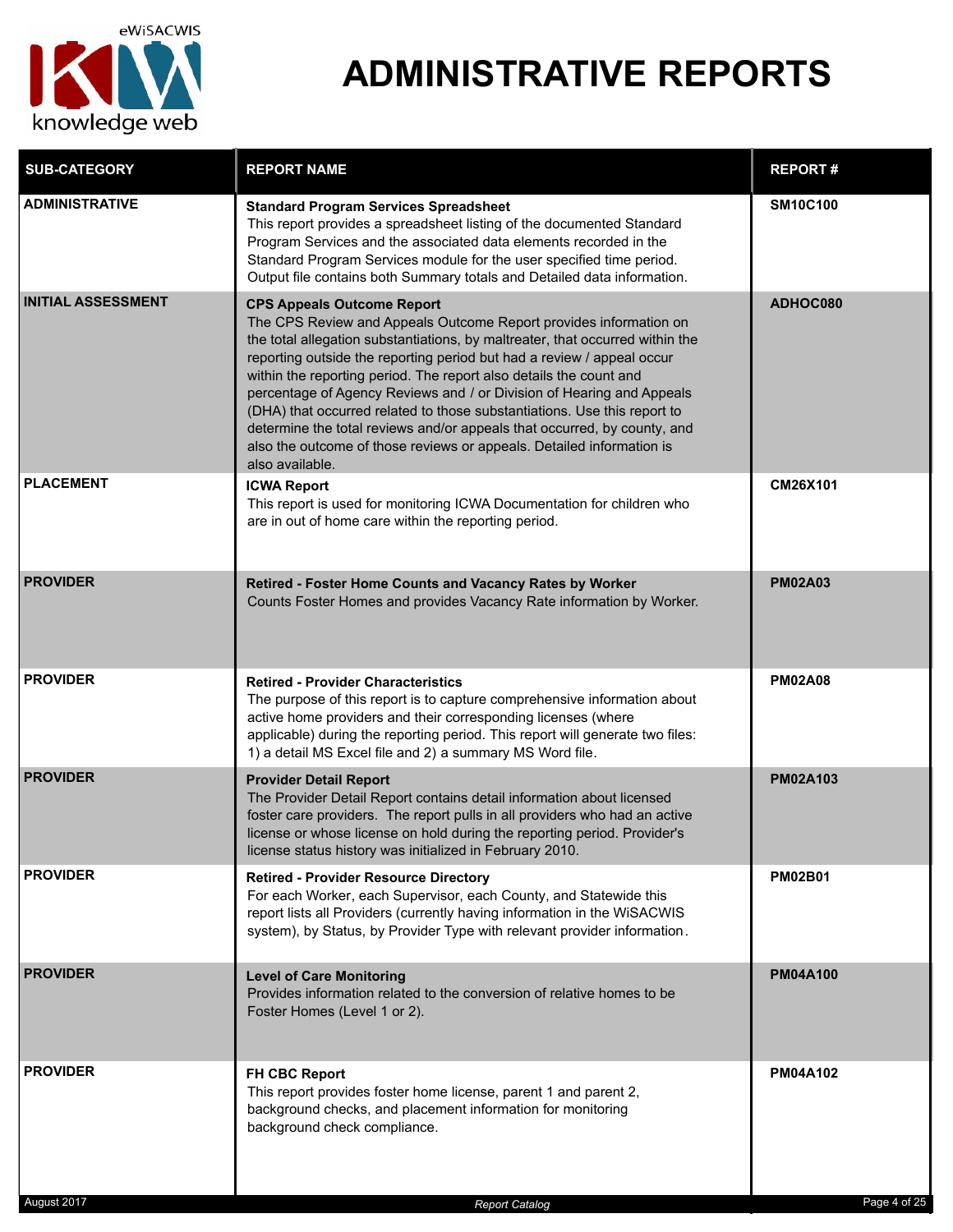

| <b>SUB-CATEGORY</b>       | <b>REPORT NAME</b>                                                                                                                                                                                                                                                                                                                                                                                                                                                                                                                                                                                                                                                   | <b>REPORT#</b>  |
|---------------------------|----------------------------------------------------------------------------------------------------------------------------------------------------------------------------------------------------------------------------------------------------------------------------------------------------------------------------------------------------------------------------------------------------------------------------------------------------------------------------------------------------------------------------------------------------------------------------------------------------------------------------------------------------------------------|-----------------|
| <b>ADMINISTRATIVE</b>     | <b>Standard Program Services Spreadsheet</b><br>This report provides a spreadsheet listing of the documented Standard<br>Program Services and the associated data elements recorded in the<br>Standard Program Services module for the user specified time period.<br>Output file contains both Summary totals and Detailed data information.                                                                                                                                                                                                                                                                                                                        | <b>SM10C100</b> |
| <b>INITIAL ASSESSMENT</b> | <b>CPS Appeals Outcome Report</b><br>The CPS Review and Appeals Outcome Report provides information on<br>the total allegation substantiations, by maltreater, that occurred within the<br>reporting outside the reporting period but had a review / appeal occur<br>within the reporting period. The report also details the count and<br>percentage of Agency Reviews and / or Division of Hearing and Appeals<br>(DHA) that occurred related to those substantiations. Use this report to<br>determine the total reviews and/or appeals that occurred, by county, and<br>also the outcome of those reviews or appeals. Detailed information is<br>also available. | ADHOC080        |
| <b>PLACEMENT</b>          | <b>ICWA Report</b><br>This report is used for monitoring ICWA Documentation for children who<br>are in out of home care within the reporting period.                                                                                                                                                                                                                                                                                                                                                                                                                                                                                                                 | CM26X101        |
| <b>PROVIDER</b>           | Retired - Foster Home Counts and Vacancy Rates by Worker<br>Counts Foster Homes and provides Vacancy Rate information by Worker.                                                                                                                                                                                                                                                                                                                                                                                                                                                                                                                                     | <b>PM02A03</b>  |
| <b>PROVIDER</b>           | <b>Retired - Provider Characteristics</b><br>The purpose of this report is to capture comprehensive information about<br>active home providers and their corresponding licenses (where<br>applicable) during the reporting period. This report will generate two files:<br>1) a detail MS Excel file and 2) a summary MS Word file.                                                                                                                                                                                                                                                                                                                                  | <b>PM02A08</b>  |
| <b>PROVIDER</b>           | <b>Provider Detail Report</b><br>The Provider Detail Report contains detail information about licensed<br>foster care providers. The report pulls in all providers who had an active<br>license or whose license on hold during the reporting period. Provider's<br>license status history was initialized in February 2010.                                                                                                                                                                                                                                                                                                                                         | <b>PM02A103</b> |
| <b>PROVIDER</b>           | <b>Retired - Provider Resource Directory</b><br>For each Worker, each Supervisor, each County, and Statewide this<br>report lists all Providers (currently having information in the WiSACWIS<br>system), by Status, by Provider Type with relevant provider information.                                                                                                                                                                                                                                                                                                                                                                                            | <b>PM02B01</b>  |
| <b>PROVIDER</b>           | <b>Level of Care Monitoring</b><br>Provides information related to the conversion of relative homes to be<br>Foster Homes (Level 1 or 2).                                                                                                                                                                                                                                                                                                                                                                                                                                                                                                                            | <b>PM04A100</b> |
| <b>PROVIDER</b>           | <b>FH CBC Report</b><br>This report provides foster home license, parent 1 and parent 2,<br>background checks, and placement information for monitoring<br>background check compliance.                                                                                                                                                                                                                                                                                                                                                                                                                                                                              | <b>PM04A102</b> |

August 2017 *Report Catalog* Page 4 of 25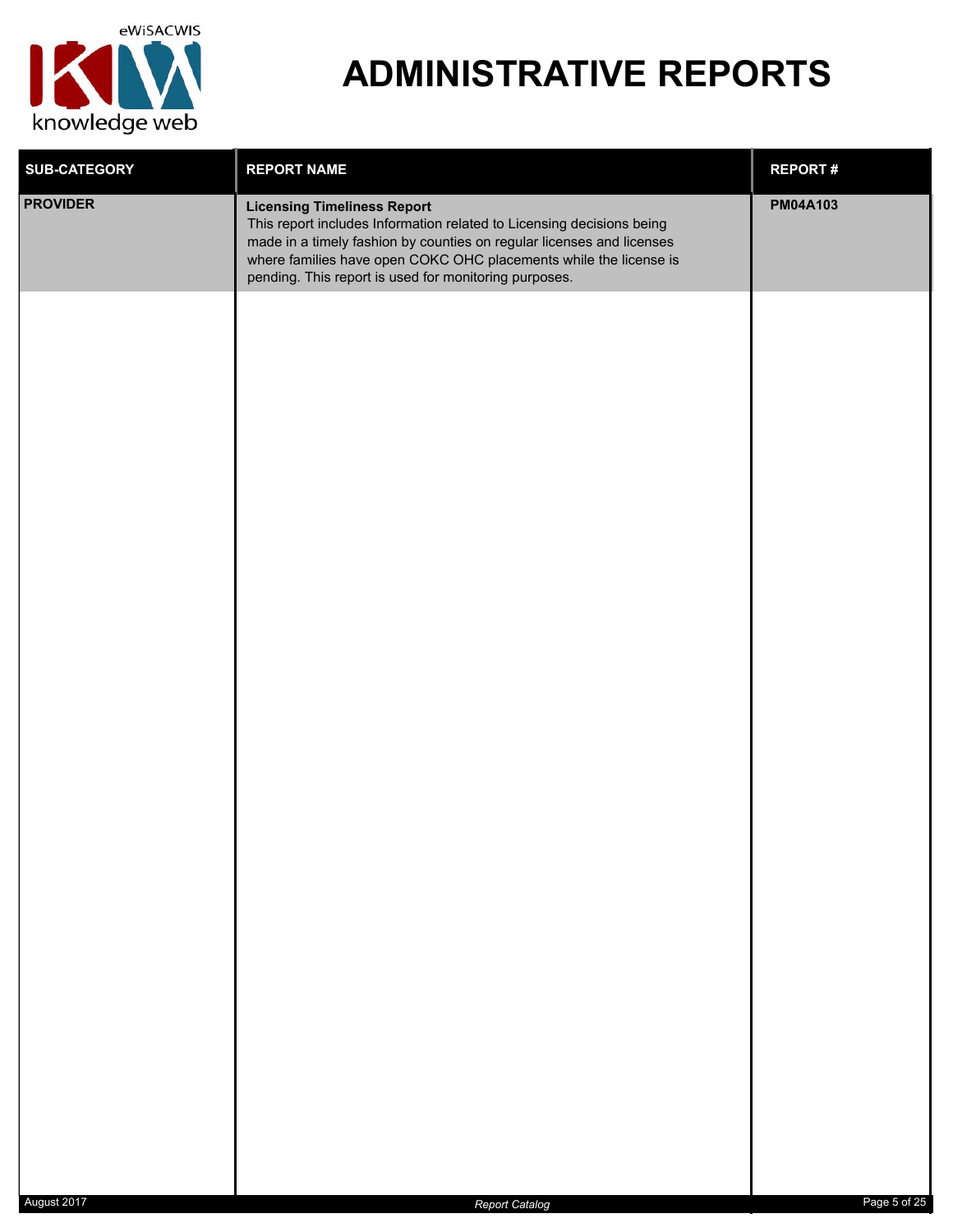

| <b>SUB-CATEGORY</b> | <b>REPORT NAME</b>                                                                                                                                                                                                                                                                                                 | <b>REPORT#</b>  |
|---------------------|--------------------------------------------------------------------------------------------------------------------------------------------------------------------------------------------------------------------------------------------------------------------------------------------------------------------|-----------------|
| <b>PROVIDER</b>     | <b>Licensing Timeliness Report</b><br>This report includes Information related to Licensing decisions being<br>made in a timely fashion by counties on regular licenses and licenses<br>where families have open COKC OHC placements while the license is<br>pending. This report is used for monitoring purposes. | <b>PM04A103</b> |
|                     |                                                                                                                                                                                                                                                                                                                    |                 |
|                     |                                                                                                                                                                                                                                                                                                                    |                 |
|                     |                                                                                                                                                                                                                                                                                                                    |                 |
|                     |                                                                                                                                                                                                                                                                                                                    |                 |
|                     |                                                                                                                                                                                                                                                                                                                    |                 |
|                     |                                                                                                                                                                                                                                                                                                                    |                 |
|                     |                                                                                                                                                                                                                                                                                                                    |                 |
|                     |                                                                                                                                                                                                                                                                                                                    |                 |
|                     |                                                                                                                                                                                                                                                                                                                    |                 |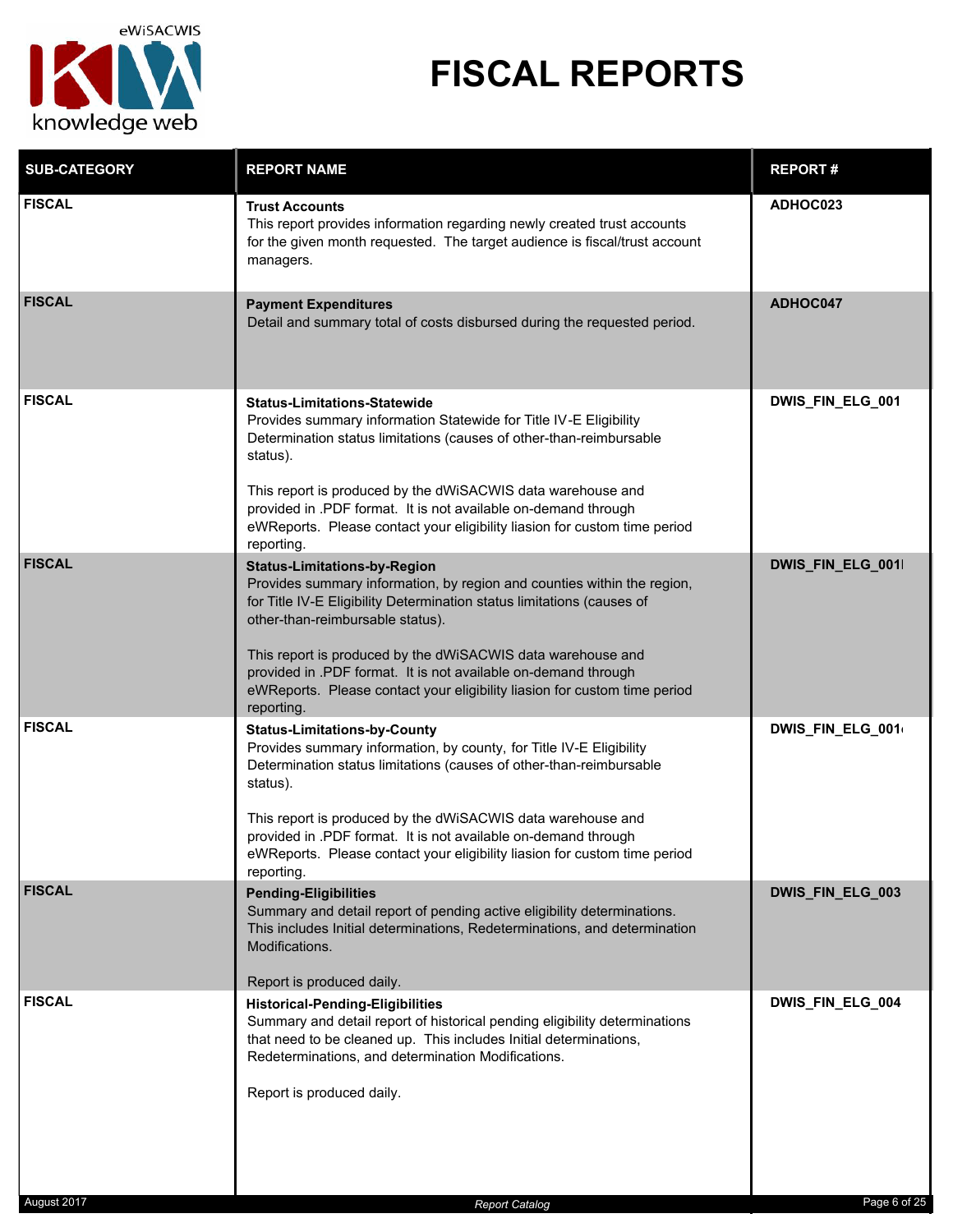

| <b>SUB-CATEGORY</b> | <b>REPORT NAME</b>                                                                                                                                                                                                                                                                                                                                                                                                                                       | <b>REPORT#</b>   |
|---------------------|----------------------------------------------------------------------------------------------------------------------------------------------------------------------------------------------------------------------------------------------------------------------------------------------------------------------------------------------------------------------------------------------------------------------------------------------------------|------------------|
| <b>FISCAL</b>       | <b>Trust Accounts</b><br>This report provides information regarding newly created trust accounts<br>for the given month requested. The target audience is fiscal/trust account<br>managers.                                                                                                                                                                                                                                                              | ADHOC023         |
| <b>FISCAL</b>       | <b>Payment Expenditures</b><br>Detail and summary total of costs disbursed during the requested period.                                                                                                                                                                                                                                                                                                                                                  | ADHOC047         |
| <b>FISCAL</b>       | <b>Status-Limitations-Statewide</b><br>Provides summary information Statewide for Title IV-E Eligibility<br>Determination status limitations (causes of other-than-reimbursable<br>status).<br>This report is produced by the dWiSACWIS data warehouse and<br>provided in .PDF format. It is not available on-demand through<br>eWReports. Please contact your eligibility liasion for custom time period<br>reporting.                                  | DWIS_FIN_ELG_001 |
| <b>FISCAL</b>       | <b>Status-Limitations-by-Region</b><br>Provides summary information, by region and counties within the region,<br>for Title IV-E Eligibility Determination status limitations (causes of<br>other-than-reimbursable status).<br>This report is produced by the dWiSACWIS data warehouse and<br>provided in .PDF format. It is not available on-demand through<br>eWReports. Please contact your eligibility liasion for custom time period<br>reporting. | DWIS_FIN_ELG_001 |
| <b>FISCAL</b>       | <b>Status-Limitations-by-County</b><br>Provides summary information, by county, for Title IV-E Eligibility<br>Determination status limitations (causes of other-than-reimbursable<br>status).<br>This report is produced by the dWiSACWIS data warehouse and<br>provided in .PDF format. It is not available on-demand through<br>eWReports. Please contact your eligibility liasion for custom time period<br>reporting.                                | DWIS_FIN_ELG_001 |
| <b>FISCAL</b>       | <b>Pending-Eligibilities</b><br>Summary and detail report of pending active eligibility determinations.<br>This includes Initial determinations, Redeterminations, and determination<br>Modifications.<br>Report is produced daily.                                                                                                                                                                                                                      | DWIS_FIN_ELG_003 |
| <b>FISCAL</b>       | <b>Historical-Pending-Eligibilities</b><br>Summary and detail report of historical pending eligibility determinations<br>that need to be cleaned up. This includes Initial determinations,<br>Redeterminations, and determination Modifications.<br>Report is produced daily.                                                                                                                                                                            | DWIS_FIN_ELG_004 |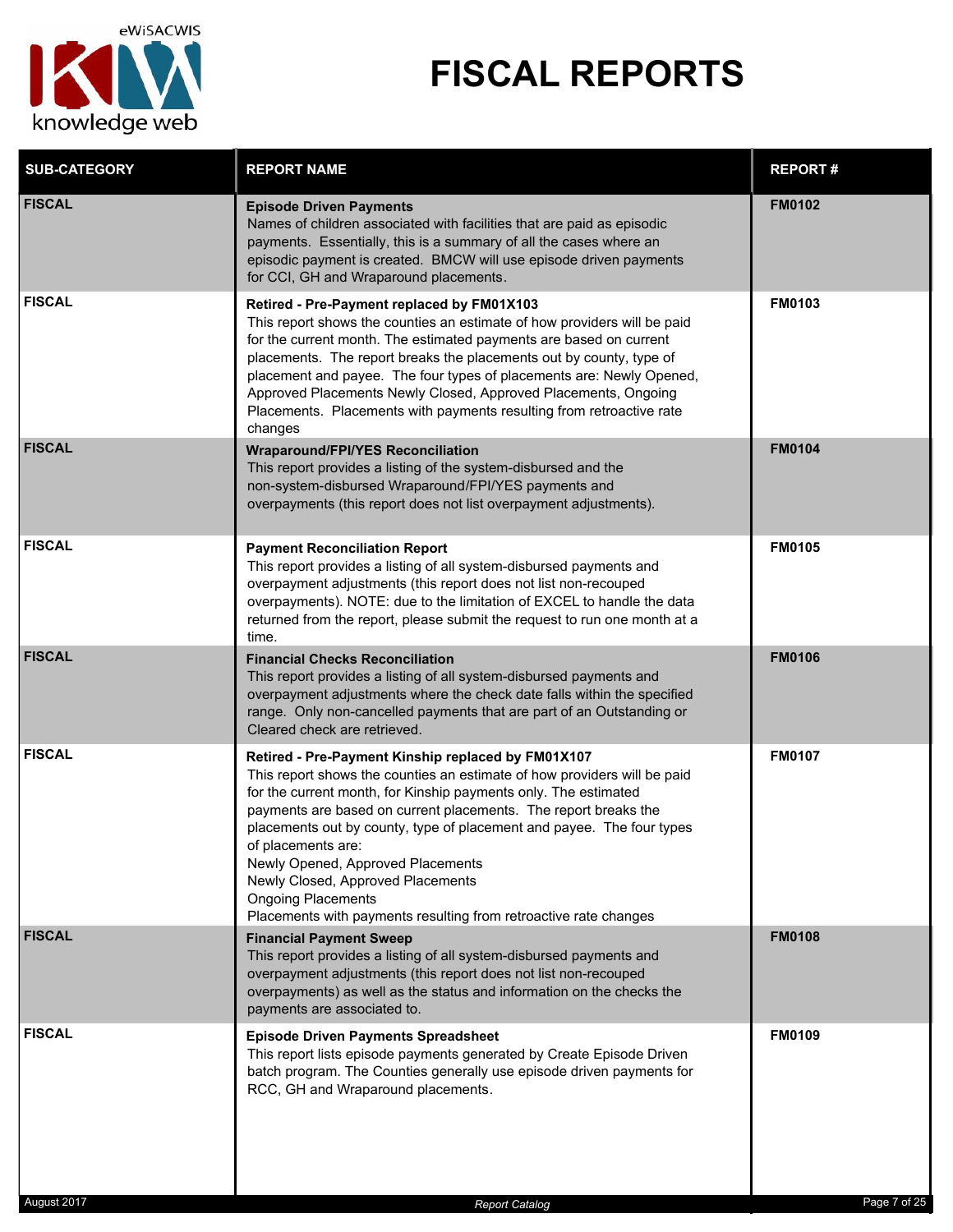

| <b>SUB-CATEGORY</b> | <b>REPORT NAME</b>                                                                                                                                                                                                                                                                                                                                                                                                                                                                                                                             | <b>REPORT#</b> |
|---------------------|------------------------------------------------------------------------------------------------------------------------------------------------------------------------------------------------------------------------------------------------------------------------------------------------------------------------------------------------------------------------------------------------------------------------------------------------------------------------------------------------------------------------------------------------|----------------|
| <b>FISCAL</b>       | <b>Episode Driven Payments</b><br>Names of children associated with facilities that are paid as episodic<br>payments. Essentially, this is a summary of all the cases where an<br>episodic payment is created. BMCW will use episode driven payments<br>for CCI, GH and Wraparound placements.                                                                                                                                                                                                                                                 | <b>FM0102</b>  |
| <b>FISCAL</b>       | Retired - Pre-Payment replaced by FM01X103<br>This report shows the counties an estimate of how providers will be paid<br>for the current month. The estimated payments are based on current<br>placements. The report breaks the placements out by county, type of<br>placement and payee. The four types of placements are: Newly Opened,<br>Approved Placements Newly Closed, Approved Placements, Ongoing<br>Placements. Placements with payments resulting from retroactive rate<br>changes                                               | <b>FM0103</b>  |
| <b>FISCAL</b>       | <b>Wraparound/FPI/YES Reconciliation</b><br>This report provides a listing of the system-disbursed and the<br>non-system-disbursed Wraparound/FPI/YES payments and<br>overpayments (this report does not list overpayment adjustments).                                                                                                                                                                                                                                                                                                        | <b>FM0104</b>  |
| <b>FISCAL</b>       | <b>Payment Reconciliation Report</b><br>This report provides a listing of all system-disbursed payments and<br>overpayment adjustments (this report does not list non-recouped<br>overpayments). NOTE: due to the limitation of EXCEL to handle the data<br>returned from the report, please submit the request to run one month at a<br>time.                                                                                                                                                                                                 | <b>FM0105</b>  |
| <b>FISCAL</b>       | <b>Financial Checks Reconciliation</b><br>This report provides a listing of all system-disbursed payments and<br>overpayment adjustments where the check date falls within the specified<br>range. Only non-cancelled payments that are part of an Outstanding or<br>Cleared check are retrieved.                                                                                                                                                                                                                                              | <b>FM0106</b>  |
| <b>FISCAL</b>       | Retired - Pre-Payment Kinship replaced by FM01X107<br>This report shows the counties an estimate of how providers will be paid<br>for the current month, for Kinship payments only. The estimated<br>payments are based on current placements. The report breaks the<br>placements out by county, type of placement and payee. The four types<br>of placements are:<br>Newly Opened, Approved Placements<br>Newly Closed, Approved Placements<br><b>Ongoing Placements</b><br>Placements with payments resulting from retroactive rate changes | <b>FM0107</b>  |
| <b>FISCAL</b>       | <b>Financial Payment Sweep</b><br>This report provides a listing of all system-disbursed payments and<br>overpayment adjustments (this report does not list non-recouped<br>overpayments) as well as the status and information on the checks the<br>payments are associated to.                                                                                                                                                                                                                                                               | <b>FM0108</b>  |
| <b>FISCAL</b>       | <b>Episode Driven Payments Spreadsheet</b><br>This report lists episode payments generated by Create Episode Driven<br>batch program. The Counties generally use episode driven payments for<br>RCC, GH and Wraparound placements.                                                                                                                                                                                                                                                                                                             | <b>FM0109</b>  |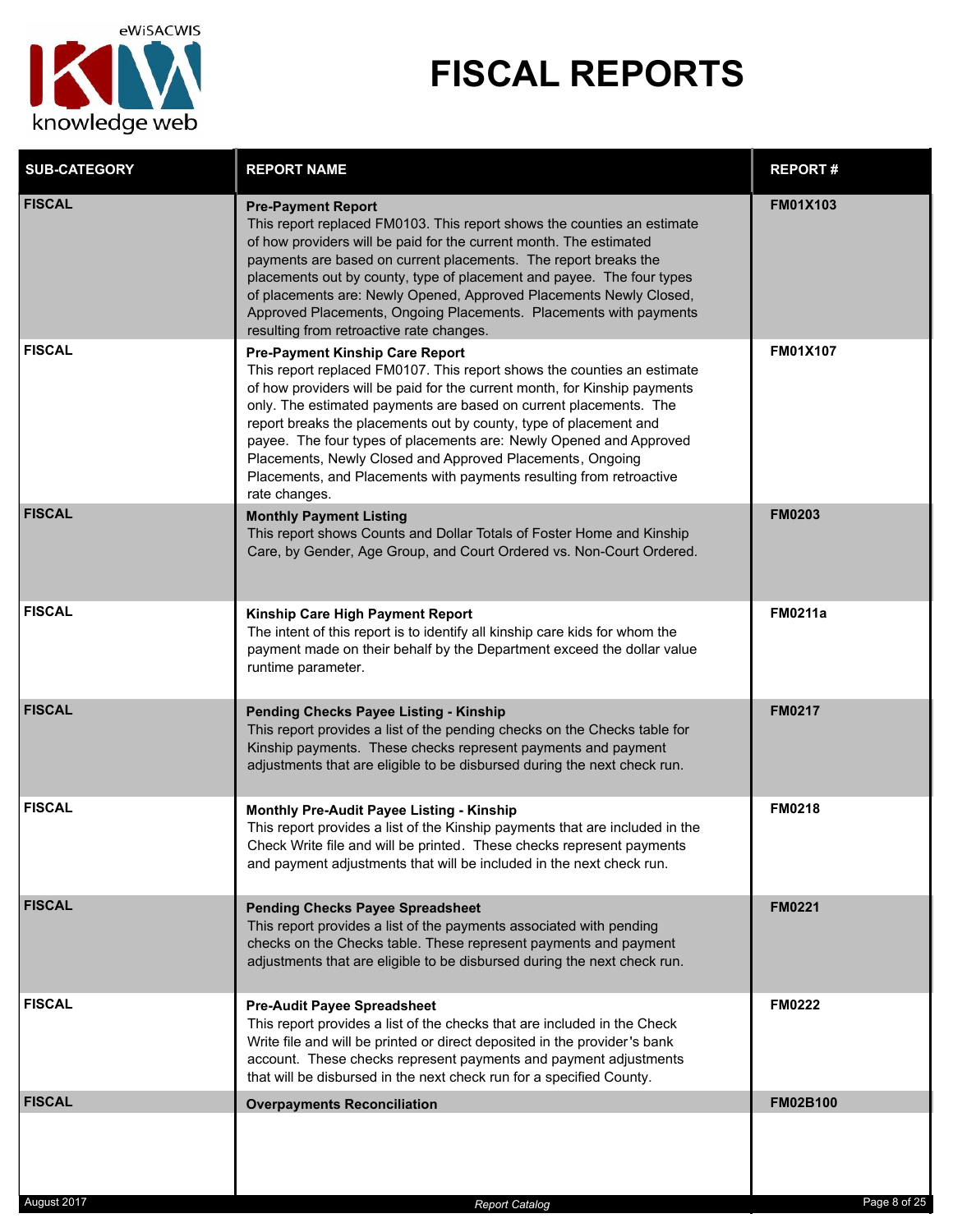

| <b>SUB-CATEGORY</b> | <b>REPORT NAME</b>                                                                                                                                                                                                                                                                                                                                                                                                                                                                                                                                                  | <b>REPORT#</b>  |
|---------------------|---------------------------------------------------------------------------------------------------------------------------------------------------------------------------------------------------------------------------------------------------------------------------------------------------------------------------------------------------------------------------------------------------------------------------------------------------------------------------------------------------------------------------------------------------------------------|-----------------|
| <b>FISCAL</b>       | <b>Pre-Payment Report</b><br>This report replaced FM0103. This report shows the counties an estimate<br>of how providers will be paid for the current month. The estimated<br>payments are based on current placements. The report breaks the<br>placements out by county, type of placement and payee. The four types<br>of placements are: Newly Opened, Approved Placements Newly Closed,<br>Approved Placements, Ongoing Placements. Placements with payments<br>resulting from retroactive rate changes.                                                       | <b>FM01X103</b> |
| <b>FISCAL</b>       | <b>Pre-Payment Kinship Care Report</b><br>This report replaced FM0107. This report shows the counties an estimate<br>of how providers will be paid for the current month, for Kinship payments<br>only. The estimated payments are based on current placements. The<br>report breaks the placements out by county, type of placement and<br>payee. The four types of placements are: Newly Opened and Approved<br>Placements, Newly Closed and Approved Placements, Ongoing<br>Placements, and Placements with payments resulting from retroactive<br>rate changes. | <b>FM01X107</b> |
| <b>FISCAL</b>       | <b>Monthly Payment Listing</b><br>This report shows Counts and Dollar Totals of Foster Home and Kinship<br>Care, by Gender, Age Group, and Court Ordered vs. Non-Court Ordered.                                                                                                                                                                                                                                                                                                                                                                                     | <b>FM0203</b>   |
| <b>FISCAL</b>       | Kinship Care High Payment Report<br>The intent of this report is to identify all kinship care kids for whom the<br>payment made on their behalf by the Department exceed the dollar value<br>runtime parameter.                                                                                                                                                                                                                                                                                                                                                     | <b>FM0211a</b>  |
| <b>FISCAL</b>       | <b>Pending Checks Payee Listing - Kinship</b><br>This report provides a list of the pending checks on the Checks table for<br>Kinship payments. These checks represent payments and payment<br>adjustments that are eligible to be disbursed during the next check run.                                                                                                                                                                                                                                                                                             | <b>FM0217</b>   |
| <b>FISCAL</b>       | Monthly Pre-Audit Payee Listing - Kinship<br>This report provides a list of the Kinship payments that are included in the<br>Check Write file and will be printed. These checks represent payments<br>and payment adjustments that will be included in the next check run.                                                                                                                                                                                                                                                                                          | <b>FM0218</b>   |
| <b>FISCAL</b>       | <b>Pending Checks Payee Spreadsheet</b><br>This report provides a list of the payments associated with pending<br>checks on the Checks table. These represent payments and payment<br>adjustments that are eligible to be disbursed during the next check run.                                                                                                                                                                                                                                                                                                      | <b>FM0221</b>   |
| <b>FISCAL</b>       | <b>Pre-Audit Payee Spreadsheet</b><br>This report provides a list of the checks that are included in the Check<br>Write file and will be printed or direct deposited in the provider's bank<br>account. These checks represent payments and payment adjustments<br>that will be disbursed in the next check run for a specified County.                                                                                                                                                                                                                             | <b>FM0222</b>   |
| <b>FISCAL</b>       | <b>Overpayments Reconciliation</b>                                                                                                                                                                                                                                                                                                                                                                                                                                                                                                                                  | FM02B100        |
| August 2017         | <b>Report Catalog</b>                                                                                                                                                                                                                                                                                                                                                                                                                                                                                                                                               | Page 8 of 25    |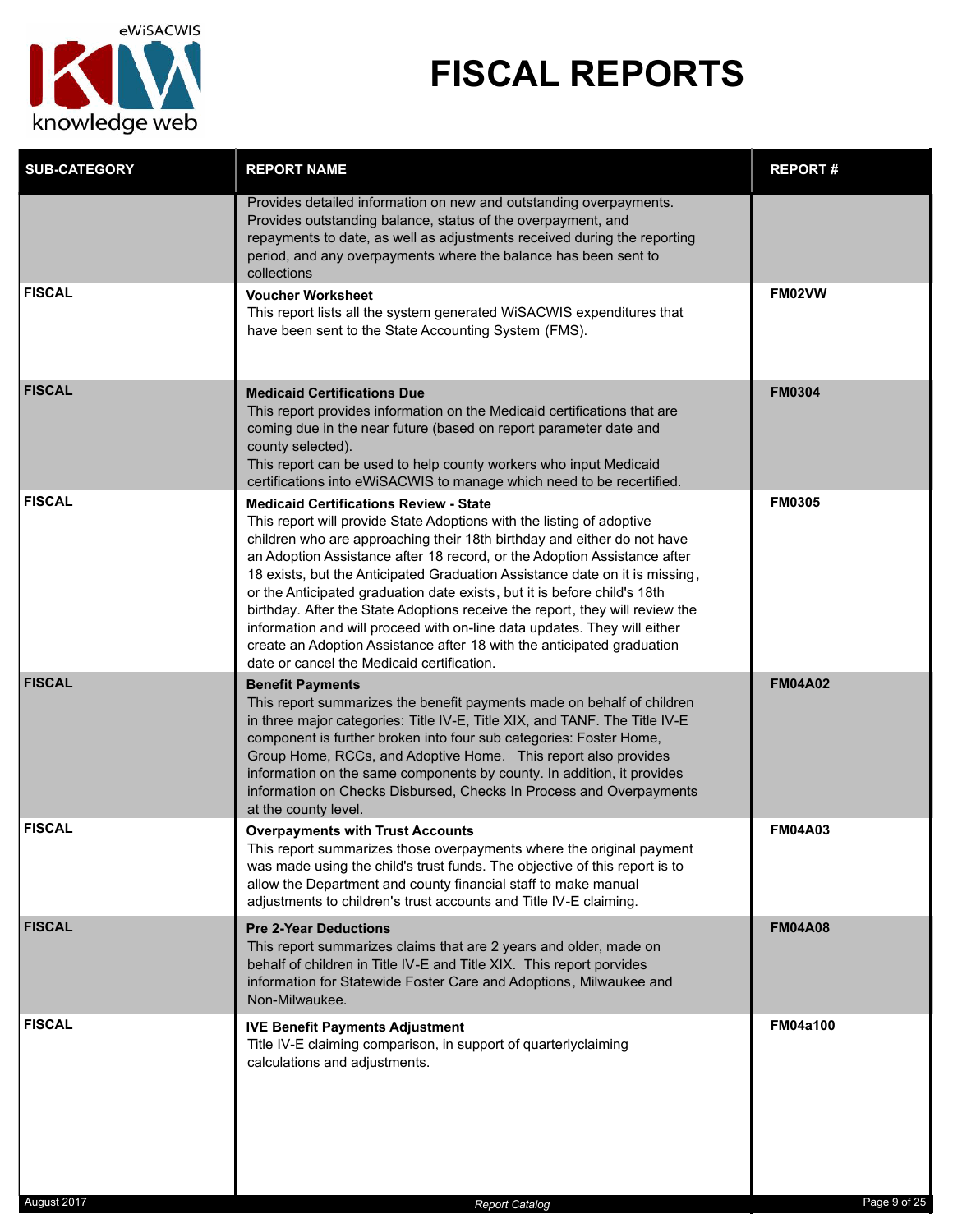

| <b>SUB-CATEGORY</b> | <b>REPORT NAME</b>                                                                                                                                                                                                                                                                                                                                                                                                                                                                                                                                                                                                                                                                                                           | <b>REPORT#</b>  |
|---------------------|------------------------------------------------------------------------------------------------------------------------------------------------------------------------------------------------------------------------------------------------------------------------------------------------------------------------------------------------------------------------------------------------------------------------------------------------------------------------------------------------------------------------------------------------------------------------------------------------------------------------------------------------------------------------------------------------------------------------------|-----------------|
|                     | Provides detailed information on new and outstanding overpayments.<br>Provides outstanding balance, status of the overpayment, and<br>repayments to date, as well as adjustments received during the reporting<br>period, and any overpayments where the balance has been sent to<br>collections                                                                                                                                                                                                                                                                                                                                                                                                                             |                 |
| <b>FISCAL</b>       | <b>Voucher Worksheet</b><br>This report lists all the system generated WiSACWIS expenditures that<br>have been sent to the State Accounting System (FMS).                                                                                                                                                                                                                                                                                                                                                                                                                                                                                                                                                                    | FM02VW          |
| <b>FISCAL</b>       | <b>Medicaid Certifications Due</b><br>This report provides information on the Medicaid certifications that are<br>coming due in the near future (based on report parameter date and<br>county selected).<br>This report can be used to help county workers who input Medicaid<br>certifications into eWiSACWIS to manage which need to be recertified.                                                                                                                                                                                                                                                                                                                                                                       | <b>FM0304</b>   |
| <b>FISCAL</b>       | <b>Medicaid Certifications Review - State</b><br>This report will provide State Adoptions with the listing of adoptive<br>children who are approaching their 18th birthday and either do not have<br>an Adoption Assistance after 18 record, or the Adoption Assistance after<br>18 exists, but the Anticipated Graduation Assistance date on it is missing,<br>or the Anticipated graduation date exists, but it is before child's 18th<br>birthday. After the State Adoptions receive the report, they will review the<br>information and will proceed with on-line data updates. They will either<br>create an Adoption Assistance after 18 with the anticipated graduation<br>date or cancel the Medicaid certification. | <b>FM0305</b>   |
| <b>FISCAL</b>       | <b>Benefit Payments</b><br>This report summarizes the benefit payments made on behalf of children<br>in three major categories: Title IV-E, Title XIX, and TANF. The Title IV-E<br>component is further broken into four sub categories: Foster Home,<br>Group Home, RCCs, and Adoptive Home. This report also provides<br>information on the same components by county. In addition, it provides<br>information on Checks Disbursed, Checks In Process and Overpayments<br>at the county level.                                                                                                                                                                                                                             | <b>FM04A02</b>  |
| <b>FISCAL</b>       | <b>Overpayments with Trust Accounts</b><br>This report summarizes those overpayments where the original payment<br>was made using the child's trust funds. The objective of this report is to<br>allow the Department and county financial staff to make manual<br>adjustments to children's trust accounts and Title IV-E claiming.                                                                                                                                                                                                                                                                                                                                                                                         | <b>FM04A03</b>  |
| <b>FISCAL</b>       | <b>Pre 2-Year Deductions</b><br>This report summarizes claims that are 2 years and older, made on<br>behalf of children in Title IV-E and Title XIX. This report porvides<br>information for Statewide Foster Care and Adoptions, Milwaukee and<br>Non-Milwaukee.                                                                                                                                                                                                                                                                                                                                                                                                                                                            | <b>FM04A08</b>  |
| <b>FISCAL</b>       | <b>IVE Benefit Payments Adjustment</b><br>Title IV-E claiming comparison, in support of quarterlyclaiming<br>calculations and adjustments.                                                                                                                                                                                                                                                                                                                                                                                                                                                                                                                                                                                   | <b>FM04a100</b> |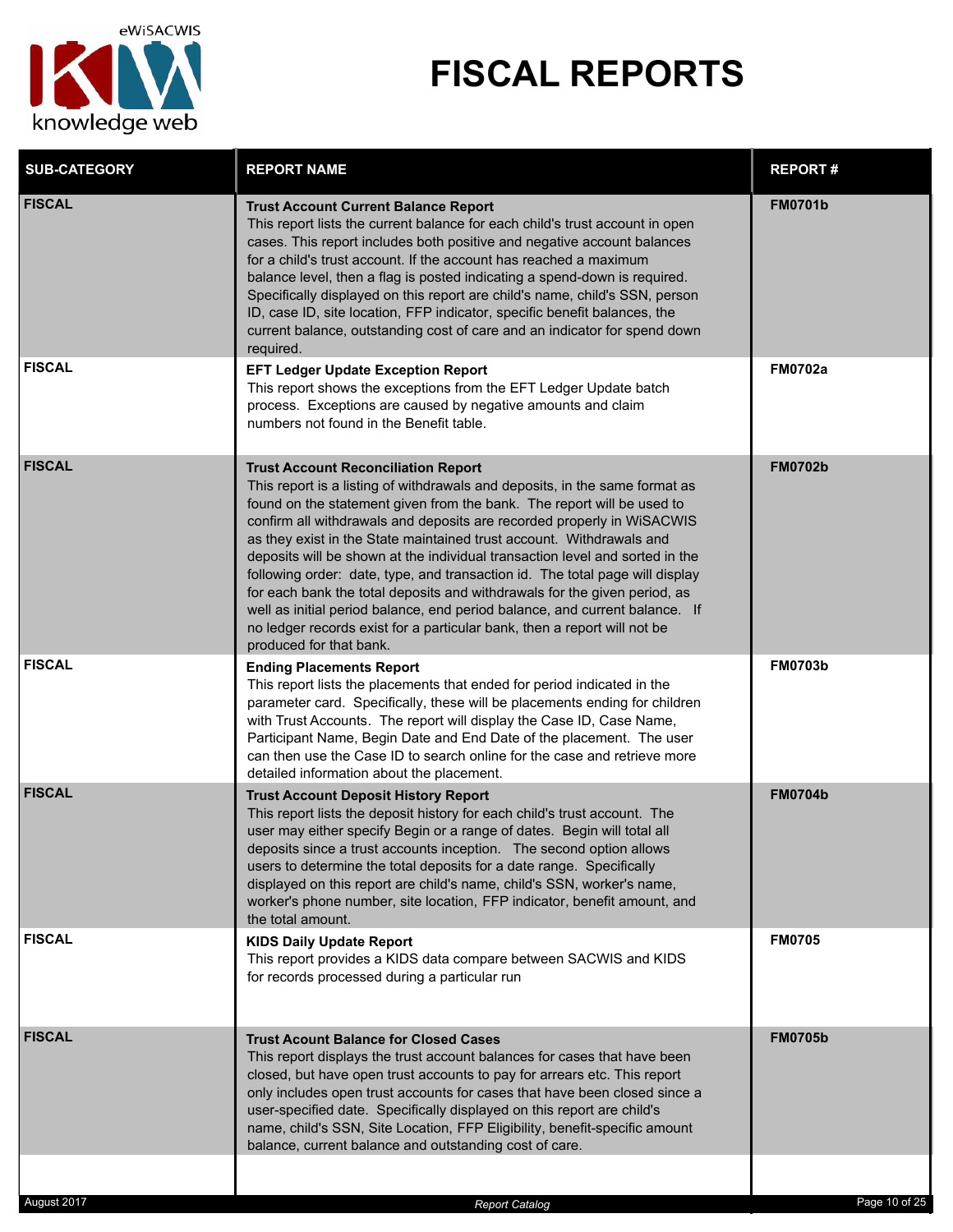

| <b>SUB-CATEGORY</b> | <b>REPORT NAME</b>                                                                                                                                                                                                                                                                                                                                                                                                                                                                                                                                                                                                                                                                                                                                                                       | <b>REPORT#</b> |
|---------------------|------------------------------------------------------------------------------------------------------------------------------------------------------------------------------------------------------------------------------------------------------------------------------------------------------------------------------------------------------------------------------------------------------------------------------------------------------------------------------------------------------------------------------------------------------------------------------------------------------------------------------------------------------------------------------------------------------------------------------------------------------------------------------------------|----------------|
| <b>FISCAL</b>       | <b>Trust Account Current Balance Report</b><br>This report lists the current balance for each child's trust account in open<br>cases. This report includes both positive and negative account balances<br>for a child's trust account. If the account has reached a maximum<br>balance level, then a flag is posted indicating a spend-down is required.<br>Specifically displayed on this report are child's name, child's SSN, person<br>ID, case ID, site location, FFP indicator, specific benefit balances, the<br>current balance, outstanding cost of care and an indicator for spend down<br>required.                                                                                                                                                                           | <b>FM0701b</b> |
| <b>FISCAL</b>       | <b>EFT Ledger Update Exception Report</b><br>This report shows the exceptions from the EFT Ledger Update batch<br>process. Exceptions are caused by negative amounts and claim<br>numbers not found in the Benefit table.                                                                                                                                                                                                                                                                                                                                                                                                                                                                                                                                                                | <b>FM0702a</b> |
| <b>FISCAL</b>       | <b>Trust Account Reconciliation Report</b><br>This report is a listing of withdrawals and deposits, in the same format as<br>found on the statement given from the bank. The report will be used to<br>confirm all withdrawals and deposits are recorded properly in WiSACWIS<br>as they exist in the State maintained trust account. Withdrawals and<br>deposits will be shown at the individual transaction level and sorted in the<br>following order: date, type, and transaction id. The total page will display<br>for each bank the total deposits and withdrawals for the given period, as<br>well as initial period balance, end period balance, and current balance. If<br>no ledger records exist for a particular bank, then a report will not be<br>produced for that bank. | <b>FM0702b</b> |
| <b>FISCAL</b>       | <b>Ending Placements Report</b><br>This report lists the placements that ended for period indicated in the<br>parameter card. Specifically, these will be placements ending for children<br>with Trust Accounts. The report will display the Case ID, Case Name,<br>Participant Name, Begin Date and End Date of the placement. The user<br>can then use the Case ID to search online for the case and retrieve more<br>detailed information about the placement.                                                                                                                                                                                                                                                                                                                        | <b>FM0703b</b> |
| <b>FISCAL</b>       | <b>Trust Account Deposit History Report</b><br>This report lists the deposit history for each child's trust account. The<br>user may either specify Begin or a range of dates. Begin will total all<br>deposits since a trust accounts inception. The second option allows<br>users to determine the total deposits for a date range. Specifically<br>displayed on this report are child's name, child's SSN, worker's name,<br>worker's phone number, site location, FFP indicator, benefit amount, and<br>the total amount.                                                                                                                                                                                                                                                            | <b>FM0704b</b> |
| <b>FISCAL</b>       | <b>KIDS Daily Update Report</b><br>This report provides a KIDS data compare between SACWIS and KIDS<br>for records processed during a particular run                                                                                                                                                                                                                                                                                                                                                                                                                                                                                                                                                                                                                                     | <b>FM0705</b>  |
| <b>FISCAL</b>       | <b>Trust Acount Balance for Closed Cases</b><br>This report displays the trust account balances for cases that have been<br>closed, but have open trust accounts to pay for arrears etc. This report<br>only includes open trust accounts for cases that have been closed since a<br>user-specified date. Specifically displayed on this report are child's<br>name, child's SSN, Site Location, FFP Eligibility, benefit-specific amount<br>balance, current balance and outstanding cost of care.                                                                                                                                                                                                                                                                                      | <b>FM0705b</b> |
| August 2017         |                                                                                                                                                                                                                                                                                                                                                                                                                                                                                                                                                                                                                                                                                                                                                                                          | Page 10 of 25  |
|                     | <b>Report Catalog</b>                                                                                                                                                                                                                                                                                                                                                                                                                                                                                                                                                                                                                                                                                                                                                                    |                |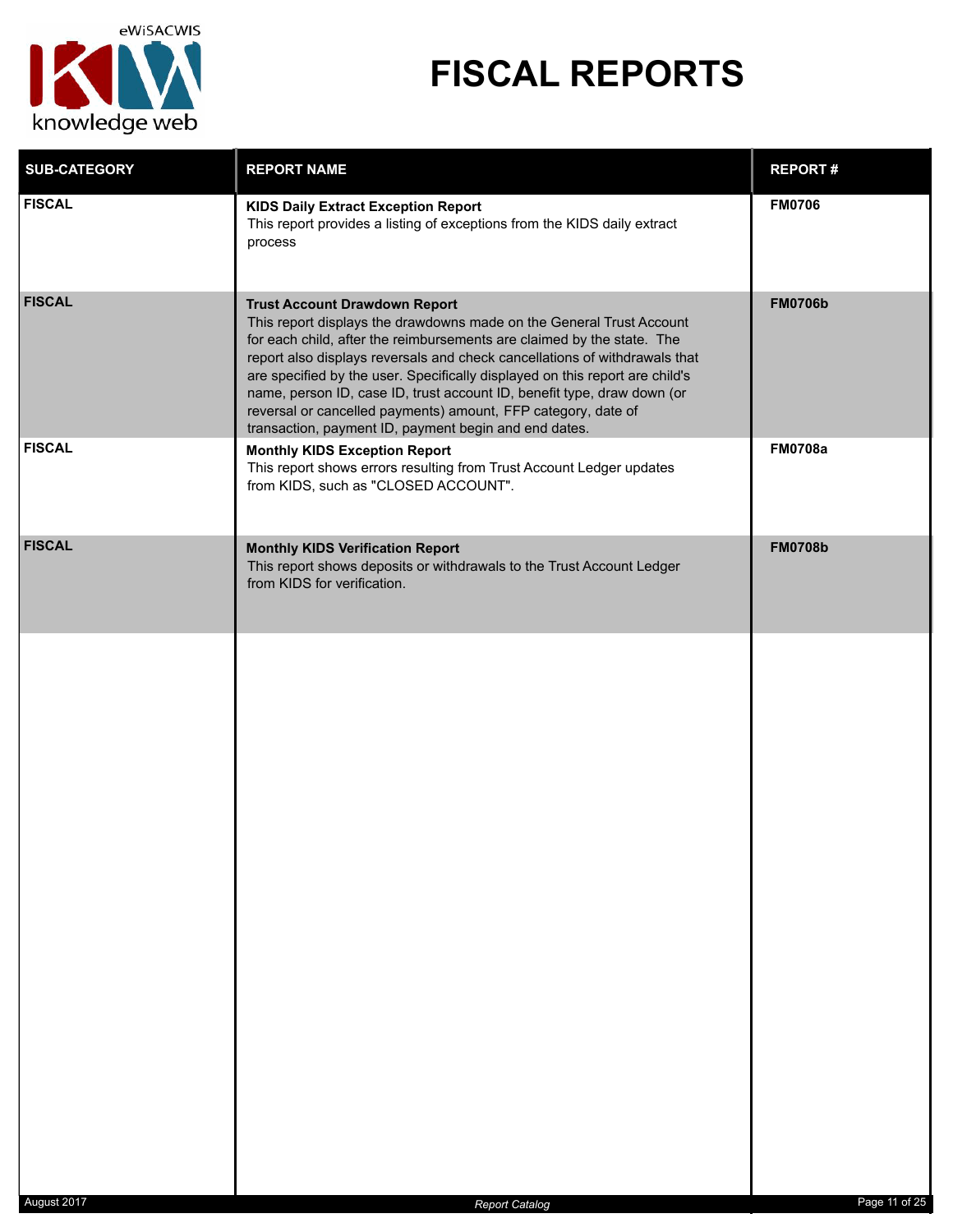

| <b>SUB-CATEGORY</b> | <b>REPORT NAME</b>                                                                                                                                                                                                                                                                                                                                                                                                                                                                                                                                        | <b>REPORT#</b> |
|---------------------|-----------------------------------------------------------------------------------------------------------------------------------------------------------------------------------------------------------------------------------------------------------------------------------------------------------------------------------------------------------------------------------------------------------------------------------------------------------------------------------------------------------------------------------------------------------|----------------|
| <b>FISCAL</b>       | <b>KIDS Daily Extract Exception Report</b><br>This report provides a listing of exceptions from the KIDS daily extract<br>process                                                                                                                                                                                                                                                                                                                                                                                                                         | <b>FM0706</b>  |
| <b>FISCAL</b>       | <b>Trust Account Drawdown Report</b><br>This report displays the drawdowns made on the General Trust Account<br>for each child, after the reimbursements are claimed by the state. The<br>report also displays reversals and check cancellations of withdrawals that<br>are specified by the user. Specifically displayed on this report are child's<br>name, person ID, case ID, trust account ID, benefit type, draw down (or<br>reversal or cancelled payments) amount, FFP category, date of<br>transaction, payment ID, payment begin and end dates. | <b>FM0706b</b> |
| <b>FISCAL</b>       | <b>Monthly KIDS Exception Report</b><br>This report shows errors resulting from Trust Account Ledger updates<br>from KIDS, such as "CLOSED ACCOUNT".                                                                                                                                                                                                                                                                                                                                                                                                      | <b>FM0708a</b> |
| <b>FISCAL</b>       | <b>Monthly KIDS Verification Report</b><br>This report shows deposits or withdrawals to the Trust Account Ledger<br>from KIDS for verification.                                                                                                                                                                                                                                                                                                                                                                                                           | <b>FM0708b</b> |
|                     |                                                                                                                                                                                                                                                                                                                                                                                                                                                                                                                                                           |                |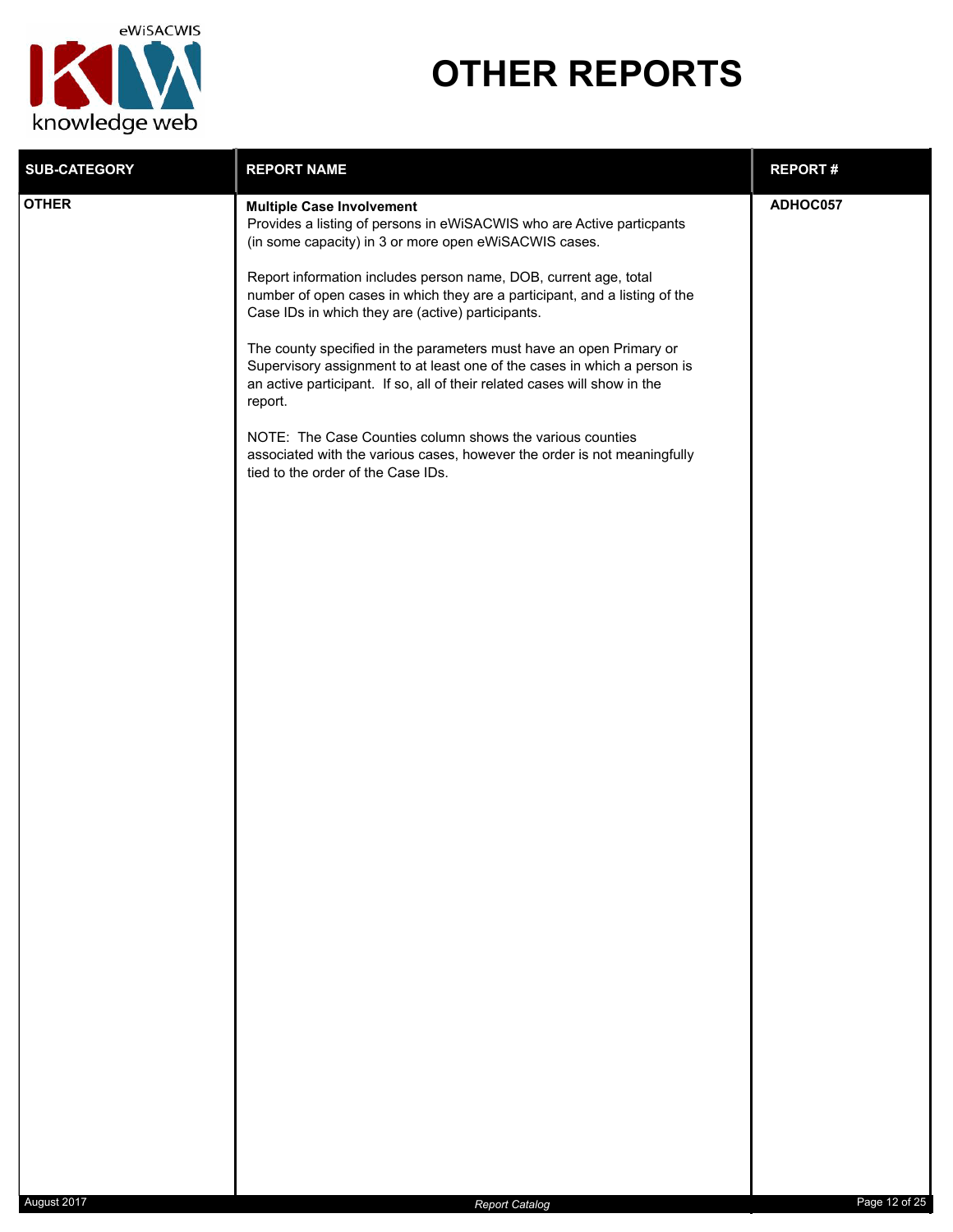

## **OTHER REPORTS**

| <b>SUB-CATEGORY</b><br><b>REPORT NAME</b><br><b>REPORT#</b>                                                                                                                                                                                                                                                                                                                                                                                                                                                                                                                                                                                                                                                                                                                                                                     |  |
|---------------------------------------------------------------------------------------------------------------------------------------------------------------------------------------------------------------------------------------------------------------------------------------------------------------------------------------------------------------------------------------------------------------------------------------------------------------------------------------------------------------------------------------------------------------------------------------------------------------------------------------------------------------------------------------------------------------------------------------------------------------------------------------------------------------------------------|--|
| <b>OTHER</b><br>ADHOC057<br><b>Multiple Case Involvement</b><br>Provides a listing of persons in eWiSACWIS who are Active particpants<br>(in some capacity) in 3 or more open eWiSACWIS cases.<br>Report information includes person name, DOB, current age, total<br>number of open cases in which they are a participant, and a listing of the<br>Case IDs in which they are (active) participants.<br>The county specified in the parameters must have an open Primary or<br>Supervisory assignment to at least one of the cases in which a person is<br>an active participant. If so, all of their related cases will show in the<br>report.<br>NOTE: The Case Counties column shows the various counties<br>associated with the various cases, however the order is not meaningfully<br>tied to the order of the Case IDs. |  |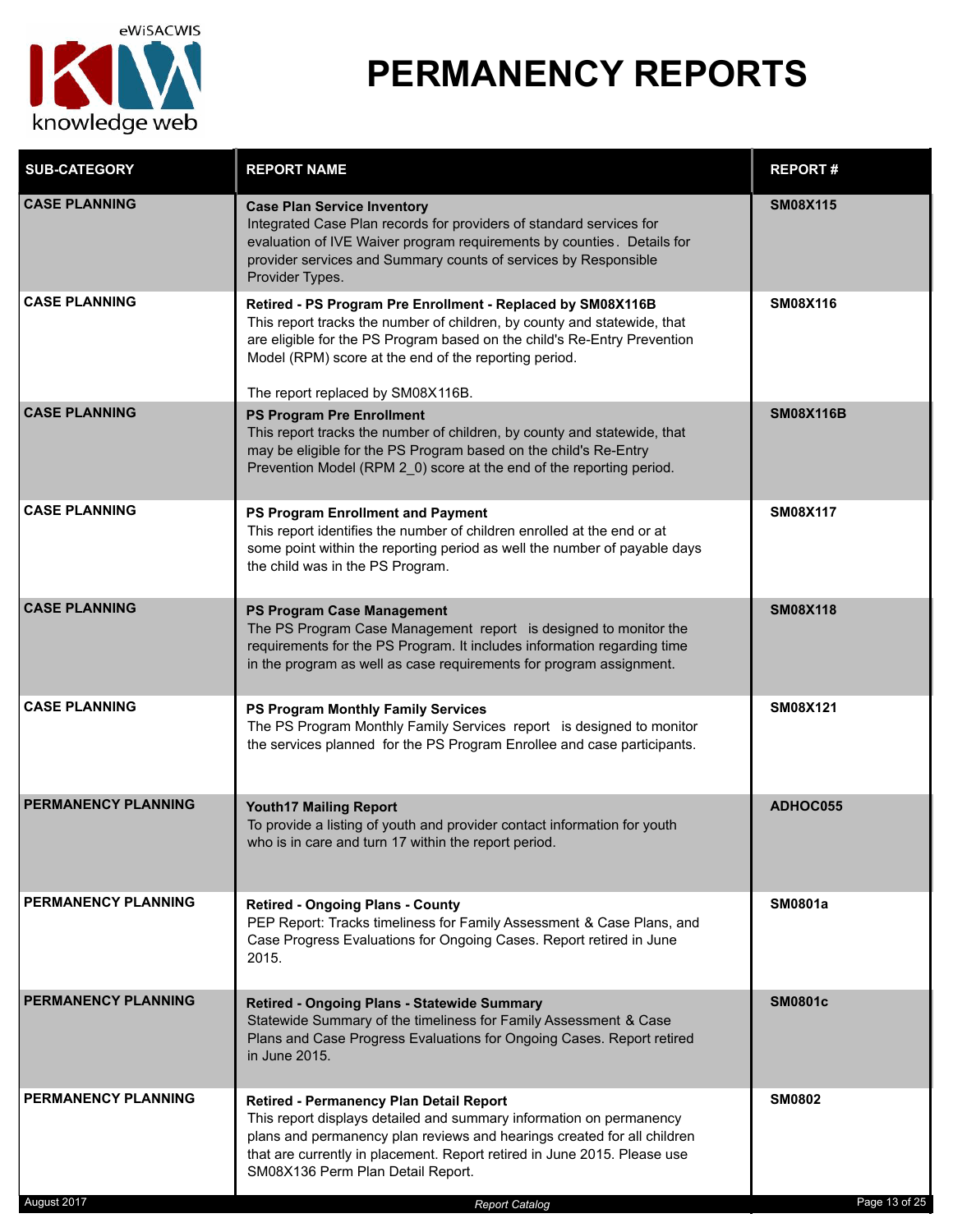

| <b>SUB-CATEGORY</b>        | <b>REPORT NAME</b>                                                                                                                                                                                                                                                                                                | <b>REPORT#</b>   |
|----------------------------|-------------------------------------------------------------------------------------------------------------------------------------------------------------------------------------------------------------------------------------------------------------------------------------------------------------------|------------------|
| <b>CASE PLANNING</b>       | <b>Case Plan Service Inventory</b><br>Integrated Case Plan records for providers of standard services for<br>evaluation of IVE Waiver program requirements by counties. Details for<br>provider services and Summary counts of services by Responsible<br>Provider Types.                                         | <b>SM08X115</b>  |
| <b>CASE PLANNING</b>       | Retired - PS Program Pre Enrollment - Replaced by SM08X116B<br>This report tracks the number of children, by county and statewide, that<br>are eligible for the PS Program based on the child's Re-Entry Prevention<br>Model (RPM) score at the end of the reporting period.<br>The report replaced by SM08X116B. | <b>SM08X116</b>  |
| <b>CASE PLANNING</b>       | <b>PS Program Pre Enrollment</b><br>This report tracks the number of children, by county and statewide, that<br>may be eligible for the PS Program based on the child's Re-Entry<br>Prevention Model (RPM 2 0) score at the end of the reporting period.                                                          | <b>SM08X116B</b> |
| <b>CASE PLANNING</b>       | PS Program Enrollment and Payment<br>This report identifies the number of children enrolled at the end or at<br>some point within the reporting period as well the number of payable days<br>the child was in the PS Program.                                                                                     | <b>SM08X117</b>  |
| <b>CASE PLANNING</b>       | PS Program Case Management<br>The PS Program Case Management report is designed to monitor the<br>requirements for the PS Program. It includes information regarding time<br>in the program as well as case requirements for program assignment.                                                                  | <b>SM08X118</b>  |
| <b>CASE PLANNING</b>       | PS Program Monthly Family Services<br>The PS Program Monthly Family Services report is designed to monitor<br>the services planned for the PS Program Enrollee and case participants.                                                                                                                             | SM08X121         |
| <b>PERMANENCY PLANNING</b> | <b>Youth17 Mailing Report</b><br>To provide a listing of youth and provider contact information for youth<br>who is in care and turn 17 within the report period.                                                                                                                                                 | ADHOC055         |
| PERMANENCY PLANNING        | <b>Retired - Ongoing Plans - County</b><br>PEP Report: Tracks timeliness for Family Assessment & Case Plans, and<br>Case Progress Evaluations for Ongoing Cases. Report retired in June<br>2015.                                                                                                                  | <b>SM0801a</b>   |
| <b>PERMANENCY PLANNING</b> | <b>Retired - Ongoing Plans - Statewide Summary</b><br>Statewide Summary of the timeliness for Family Assessment & Case<br>Plans and Case Progress Evaluations for Ongoing Cases. Report retired<br>in June 2015.                                                                                                  | <b>SM0801c</b>   |
| <b>PERMANENCY PLANNING</b> | Retired - Permanency Plan Detail Report<br>This report displays detailed and summary information on permanency<br>plans and permanency plan reviews and hearings created for all children<br>that are currently in placement. Report retired in June 2015. Please use<br>SM08X136 Perm Plan Detail Report.        | <b>SM0802</b>    |
| August 2017                | <b>Report Catalog</b>                                                                                                                                                                                                                                                                                             | Page 13 of 25    |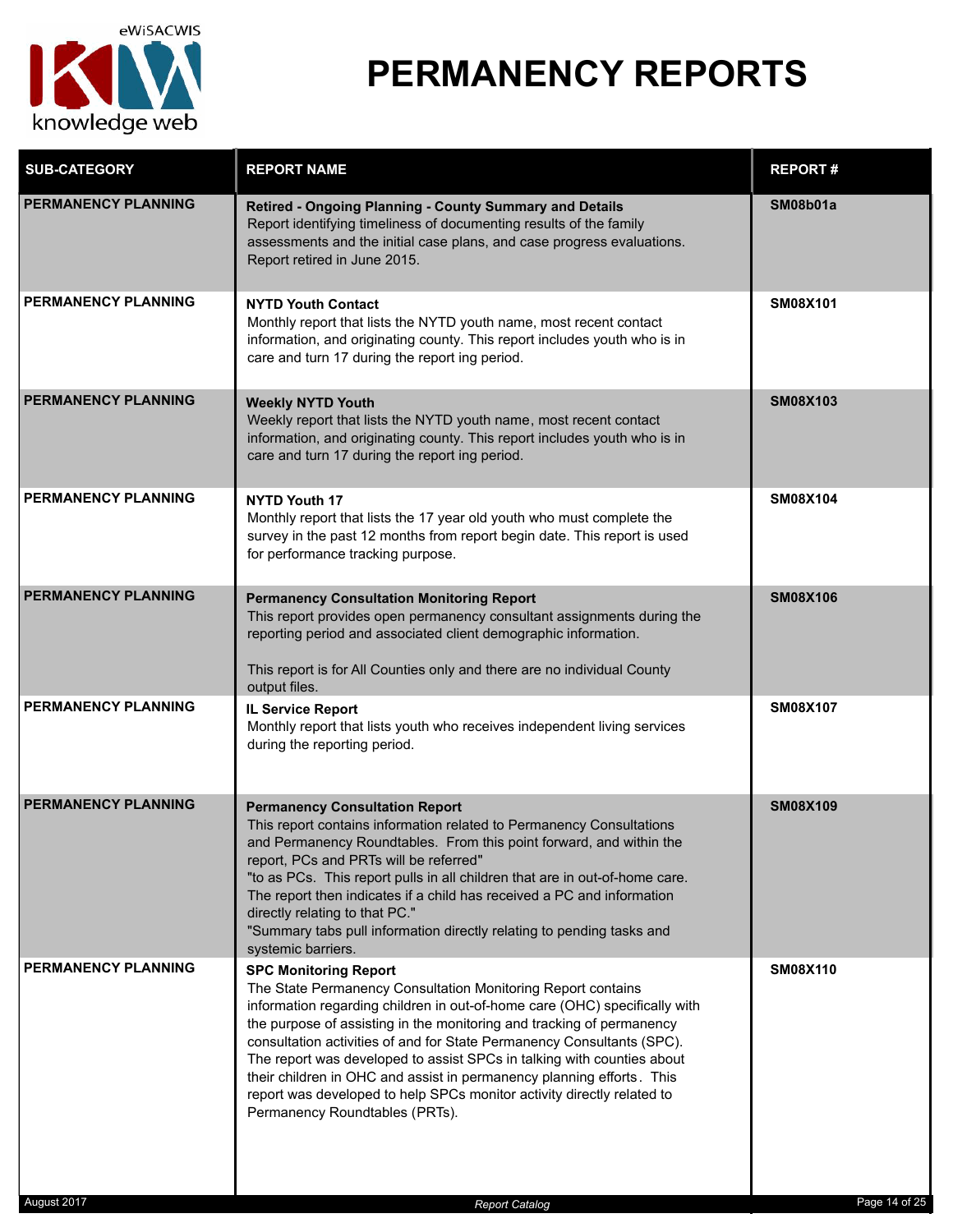

| <b>SUB-CATEGORY</b>        | <b>REPORT NAME</b>                                                                                                                                                                                                                                                                                                                                                                                                                                                                                                                                                                           | <b>REPORT#</b>  |
|----------------------------|----------------------------------------------------------------------------------------------------------------------------------------------------------------------------------------------------------------------------------------------------------------------------------------------------------------------------------------------------------------------------------------------------------------------------------------------------------------------------------------------------------------------------------------------------------------------------------------------|-----------------|
| <b>PERMANENCY PLANNING</b> | Retired - Ongoing Planning - County Summary and Details<br>Report identifying timeliness of documenting results of the family<br>assessments and the initial case plans, and case progress evaluations.<br>Report retired in June 2015.                                                                                                                                                                                                                                                                                                                                                      | SM08b01a        |
| <b>PERMANENCY PLANNING</b> | <b>NYTD Youth Contact</b><br>Monthly report that lists the NYTD youth name, most recent contact<br>information, and originating county. This report includes youth who is in<br>care and turn 17 during the report ing period.                                                                                                                                                                                                                                                                                                                                                               | <b>SM08X101</b> |
| <b>PERMANENCY PLANNING</b> | <b>Weekly NYTD Youth</b><br>Weekly report that lists the NYTD youth name, most recent contact<br>information, and originating county. This report includes youth who is in<br>care and turn 17 during the report ing period.                                                                                                                                                                                                                                                                                                                                                                 | <b>SM08X103</b> |
| <b>PERMANENCY PLANNING</b> | <b>NYTD Youth 17</b><br>Monthly report that lists the 17 year old youth who must complete the<br>survey in the past 12 months from report begin date. This report is used<br>for performance tracking purpose.                                                                                                                                                                                                                                                                                                                                                                               | <b>SM08X104</b> |
| <b>PERMANENCY PLANNING</b> | <b>Permanency Consultation Monitoring Report</b><br>This report provides open permanency consultant assignments during the<br>reporting period and associated client demographic information.<br>This report is for All Counties only and there are no individual County<br>output files.                                                                                                                                                                                                                                                                                                    | <b>SM08X106</b> |
| PERMANENCY PLANNING        | <b>IL Service Report</b><br>Monthly report that lists youth who receives independent living services<br>during the reporting period.                                                                                                                                                                                                                                                                                                                                                                                                                                                         | <b>SM08X107</b> |
| <b>PERMANENCY PLANNING</b> | <b>Permanency Consultation Report</b><br>This report contains information related to Permanency Consultations<br>and Permanency Roundtables. From this point forward, and within the<br>report, PCs and PRTs will be referred"<br>"to as PCs. This report pulls in all children that are in out-of-home care.<br>The report then indicates if a child has received a PC and information<br>directly relating to that PC."<br>"Summary tabs pull information directly relating to pending tasks and<br>systemic barriers.                                                                     | <b>SM08X109</b> |
| <b>PERMANENCY PLANNING</b> | <b>SPC Monitoring Report</b><br>The State Permanency Consultation Monitoring Report contains<br>information regarding children in out-of-home care (OHC) specifically with<br>the purpose of assisting in the monitoring and tracking of permanency<br>consultation activities of and for State Permanency Consultants (SPC).<br>The report was developed to assist SPCs in talking with counties about<br>their children in OHC and assist in permanency planning efforts. This<br>report was developed to help SPCs monitor activity directly related to<br>Permanency Roundtables (PRTs). | <b>SM08X110</b> |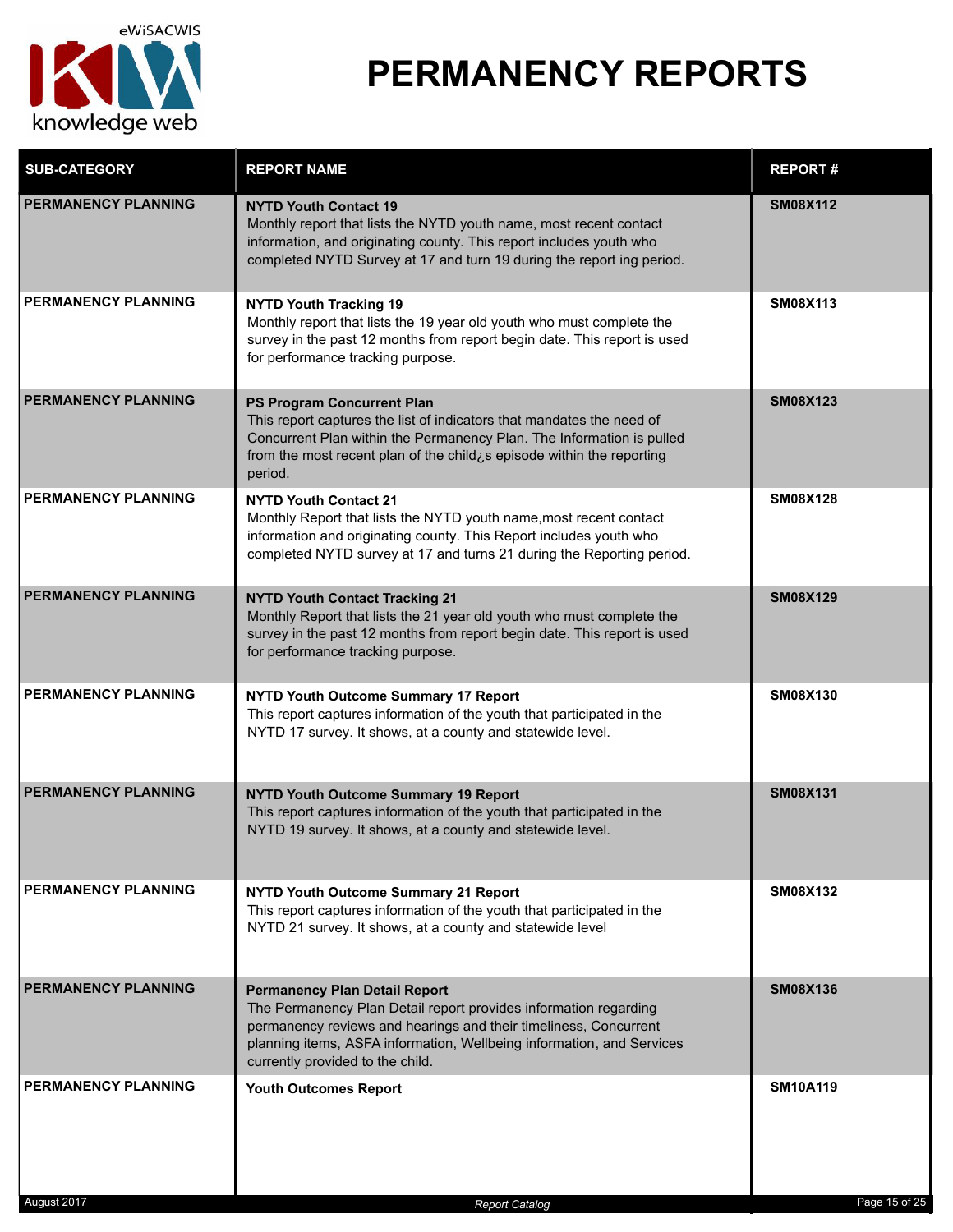

| <b>SUB-CATEGORY</b>        | <b>REPORT NAME</b>                                                                                                                                                                                                                                                                        | <b>REPORT#</b>  |
|----------------------------|-------------------------------------------------------------------------------------------------------------------------------------------------------------------------------------------------------------------------------------------------------------------------------------------|-----------------|
| <b>PERMANENCY PLANNING</b> | <b>NYTD Youth Contact 19</b><br>Monthly report that lists the NYTD youth name, most recent contact<br>information, and originating county. This report includes youth who<br>completed NYTD Survey at 17 and turn 19 during the report ing period.                                        | <b>SM08X112</b> |
| <b>PERMANENCY PLANNING</b> | <b>NYTD Youth Tracking 19</b><br>Monthly report that lists the 19 year old youth who must complete the<br>survey in the past 12 months from report begin date. This report is used<br>for performance tracking purpose.                                                                   | <b>SM08X113</b> |
| <b>PERMANENCY PLANNING</b> | <b>PS Program Concurrent Plan</b><br>This report captures the list of indicators that mandates the need of<br>Concurrent Plan within the Permanency Plan. The Information is pulled<br>from the most recent plan of the child¿s episode within the reporting<br>period.                   | <b>SM08X123</b> |
| <b>PERMANENCY PLANNING</b> | <b>NYTD Youth Contact 21</b><br>Monthly Report that lists the NYTD youth name, most recent contact<br>information and originating county. This Report includes youth who<br>completed NYTD survey at 17 and turns 21 during the Reporting period.                                         | <b>SM08X128</b> |
| <b>PERMANENCY PLANNING</b> | <b>NYTD Youth Contact Tracking 21</b><br>Monthly Report that lists the 21 year old youth who must complete the<br>survey in the past 12 months from report begin date. This report is used<br>for performance tracking purpose.                                                           | <b>SM08X129</b> |
| <b>PERMANENCY PLANNING</b> | <b>NYTD Youth Outcome Summary 17 Report</b><br>This report captures information of the youth that participated in the<br>NYTD 17 survey. It shows, at a county and statewide level.                                                                                                       | <b>SM08X130</b> |
| <b>PERMANENCY PLANNING</b> | <b>NYTD Youth Outcome Summary 19 Report</b><br>This report captures information of the youth that participated in the<br>NYTD 19 survey. It shows, at a county and statewide level.                                                                                                       | <b>SM08X131</b> |
| <b>PERMANENCY PLANNING</b> | <b>NYTD Youth Outcome Summary 21 Report</b><br>This report captures information of the youth that participated in the<br>NYTD 21 survey. It shows, at a county and statewide level                                                                                                        | <b>SM08X132</b> |
| <b>PERMANENCY PLANNING</b> | <b>Permanency Plan Detail Report</b><br>The Permanency Plan Detail report provides information regarding<br>permanency reviews and hearings and their timeliness, Concurrent<br>planning items, ASFA information, Wellbeing information, and Services<br>currently provided to the child. | <b>SM08X136</b> |
| PERMANENCY PLANNING        | <b>Youth Outcomes Report</b>                                                                                                                                                                                                                                                              | <b>SM10A119</b> |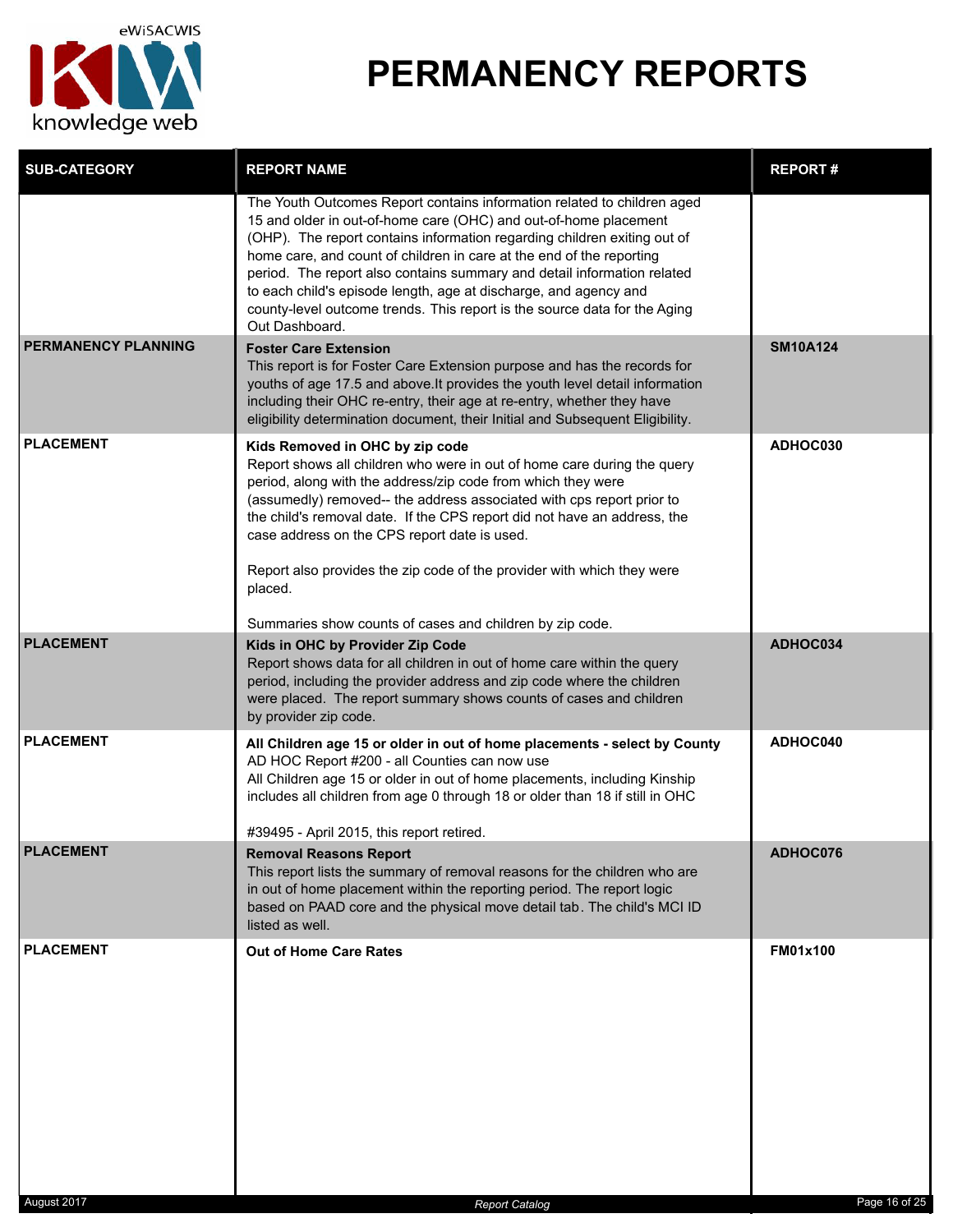

| <b>SUB-CATEGORY</b> | <b>REPORT NAME</b>                                                                                                                                                                                                                                                                                                                                                                                                                                                                                                                            | <b>REPORT#</b>  |
|---------------------|-----------------------------------------------------------------------------------------------------------------------------------------------------------------------------------------------------------------------------------------------------------------------------------------------------------------------------------------------------------------------------------------------------------------------------------------------------------------------------------------------------------------------------------------------|-----------------|
|                     | The Youth Outcomes Report contains information related to children aged<br>15 and older in out-of-home care (OHC) and out-of-home placement<br>(OHP). The report contains information regarding children exiting out of<br>home care, and count of children in care at the end of the reporting<br>period. The report also contains summary and detail information related<br>to each child's episode length, age at discharge, and agency and<br>county-level outcome trends. This report is the source data for the Aging<br>Out Dashboard. |                 |
| PERMANENCY PLANNING | <b>Foster Care Extension</b><br>This report is for Foster Care Extension purpose and has the records for<br>youths of age 17.5 and above. It provides the youth level detail information<br>including their OHC re-entry, their age at re-entry, whether they have<br>eligibility determination document, their Initial and Subsequent Eligibility.                                                                                                                                                                                           | <b>SM10A124</b> |
| <b>PLACEMENT</b>    | Kids Removed in OHC by zip code<br>Report shows all children who were in out of home care during the query<br>period, along with the address/zip code from which they were<br>(assumedly) removed-- the address associated with cps report prior to<br>the child's removal date. If the CPS report did not have an address, the<br>case address on the CPS report date is used.<br>Report also provides the zip code of the provider with which they were<br>placed.<br>Summaries show counts of cases and children by zip code.              | ADHOC030        |
| <b>PLACEMENT</b>    | Kids in OHC by Provider Zip Code<br>Report shows data for all children in out of home care within the query<br>period, including the provider address and zip code where the children<br>were placed. The report summary shows counts of cases and children<br>by provider zip code.                                                                                                                                                                                                                                                          | ADHOC034        |
| <b>PLACEMENT</b>    | All Children age 15 or older in out of home placements - select by County<br>AD HOC Report #200 - all Counties can now use<br>All Children age 15 or older in out of home placements, including Kinship<br>includes all children from age 0 through 18 or older than 18 if still in OHC<br>#39495 - April 2015, this report retired.                                                                                                                                                                                                          | ADHOC040        |
| <b>PLACEMENT</b>    | <b>Removal Reasons Report</b><br>This report lists the summary of removal reasons for the children who are<br>in out of home placement within the reporting period. The report logic<br>based on PAAD core and the physical move detail tab. The child's MCI ID<br>listed as well.                                                                                                                                                                                                                                                            | <b>ADHOC076</b> |
| <b>PLACEMENT</b>    | <b>Out of Home Care Rates</b>                                                                                                                                                                                                                                                                                                                                                                                                                                                                                                                 | <b>FM01x100</b> |
| August 2017         | <b>Report Catalog</b>                                                                                                                                                                                                                                                                                                                                                                                                                                                                                                                         | Page 16 of 25   |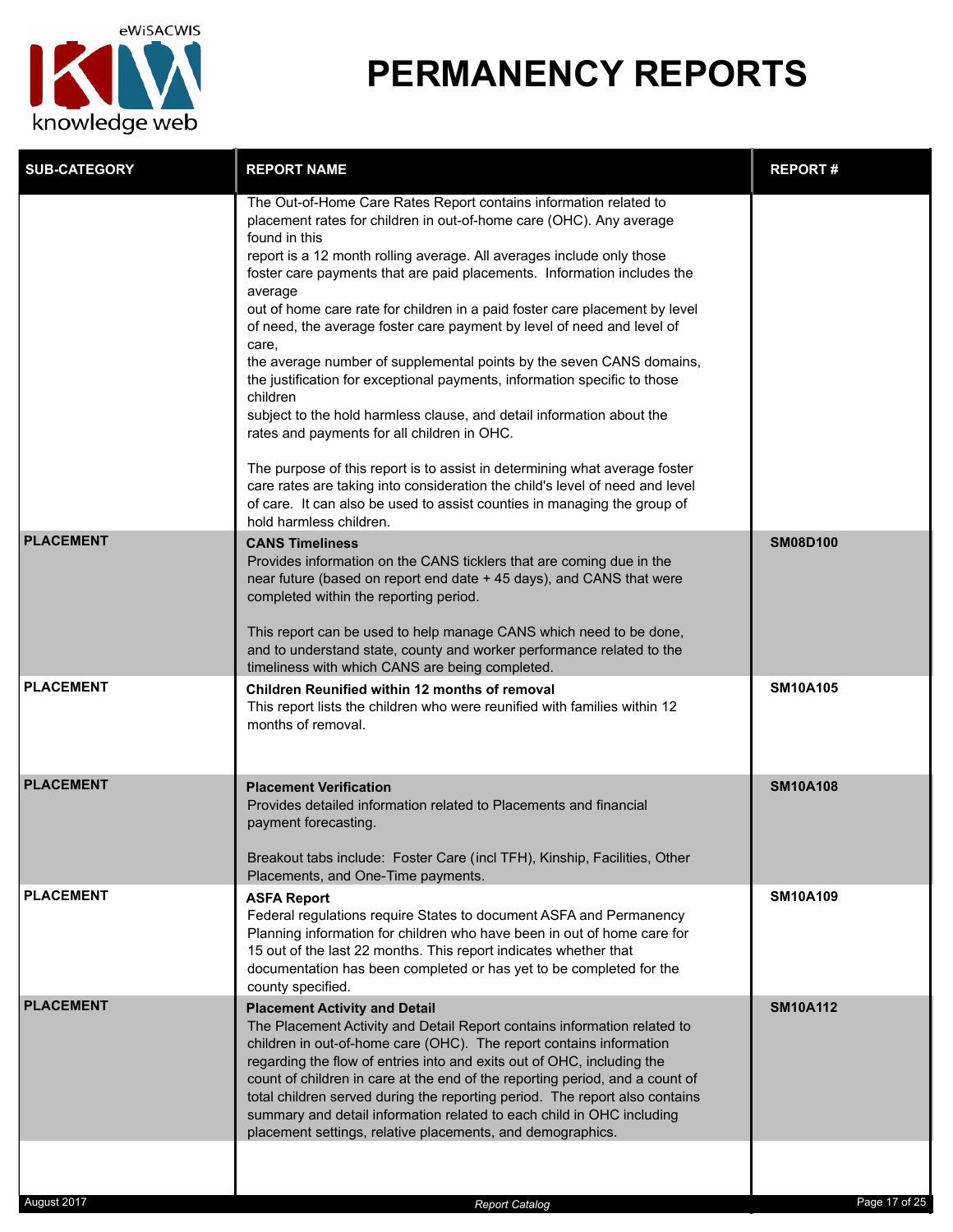

| <b>SUB-CATEGORY</b> | <b>REPORT NAME</b>                                                                                                                                                                                                                                                                                                                                                                                                                                                                                                                                                                                                                                                                                                                                                                                                                                                                                                                                                                                                                                       | <b>REPORT#</b>  |
|---------------------|----------------------------------------------------------------------------------------------------------------------------------------------------------------------------------------------------------------------------------------------------------------------------------------------------------------------------------------------------------------------------------------------------------------------------------------------------------------------------------------------------------------------------------------------------------------------------------------------------------------------------------------------------------------------------------------------------------------------------------------------------------------------------------------------------------------------------------------------------------------------------------------------------------------------------------------------------------------------------------------------------------------------------------------------------------|-----------------|
|                     | The Out-of-Home Care Rates Report contains information related to<br>placement rates for children in out-of-home care (OHC). Any average<br>found in this<br>report is a 12 month rolling average. All averages include only those<br>foster care payments that are paid placements. Information includes the<br>average<br>out of home care rate for children in a paid foster care placement by level<br>of need, the average foster care payment by level of need and level of<br>care,<br>the average number of supplemental points by the seven CANS domains,<br>the justification for exceptional payments, information specific to those<br>children<br>subject to the hold harmless clause, and detail information about the<br>rates and payments for all children in OHC.<br>The purpose of this report is to assist in determining what average foster<br>care rates are taking into consideration the child's level of need and level<br>of care. It can also be used to assist counties in managing the group of<br>hold harmless children. |                 |
| <b>PLACEMENT</b>    | <b>CANS Timeliness</b><br>Provides information on the CANS ticklers that are coming due in the<br>near future (based on report end date + 45 days), and CANS that were<br>completed within the reporting period.<br>This report can be used to help manage CANS which need to be done,<br>and to understand state, county and worker performance related to the<br>timeliness with which CANS are being completed.                                                                                                                                                                                                                                                                                                                                                                                                                                                                                                                                                                                                                                       | <b>SM08D100</b> |
| <b>PLACEMENT</b>    | Children Reunified within 12 months of removal<br>This report lists the children who were reunified with families within 12<br>months of removal.                                                                                                                                                                                                                                                                                                                                                                                                                                                                                                                                                                                                                                                                                                                                                                                                                                                                                                        | <b>SM10A105</b> |
| <b>PLACEMENT</b>    | <b>Placement Verification</b><br>Provides detailed information related to Placements and financial<br>payment forecasting.<br>Breakout tabs include: Foster Care (incl TFH), Kinship, Facilities, Other<br>Placements, and One-Time payments.                                                                                                                                                                                                                                                                                                                                                                                                                                                                                                                                                                                                                                                                                                                                                                                                            | <b>SM10A108</b> |
| <b>PLACEMENT</b>    | <b>ASFA Report</b><br>Federal regulations require States to document ASFA and Permanency<br>Planning information for children who have been in out of home care for<br>15 out of the last 22 months. This report indicates whether that<br>documentation has been completed or has yet to be completed for the<br>county specified.                                                                                                                                                                                                                                                                                                                                                                                                                                                                                                                                                                                                                                                                                                                      | <b>SM10A109</b> |
| <b>PLACEMENT</b>    | <b>Placement Activity and Detail</b><br>The Placement Activity and Detail Report contains information related to<br>children in out-of-home care (OHC). The report contains information<br>regarding the flow of entries into and exits out of OHC, including the<br>count of children in care at the end of the reporting period, and a count of<br>total children served during the reporting period. The report also contains<br>summary and detail information related to each child in OHC including<br>placement settings, relative placements, and demographics.                                                                                                                                                                                                                                                                                                                                                                                                                                                                                  | <b>SM10A112</b> |
|                     |                                                                                                                                                                                                                                                                                                                                                                                                                                                                                                                                                                                                                                                                                                                                                                                                                                                                                                                                                                                                                                                          |                 |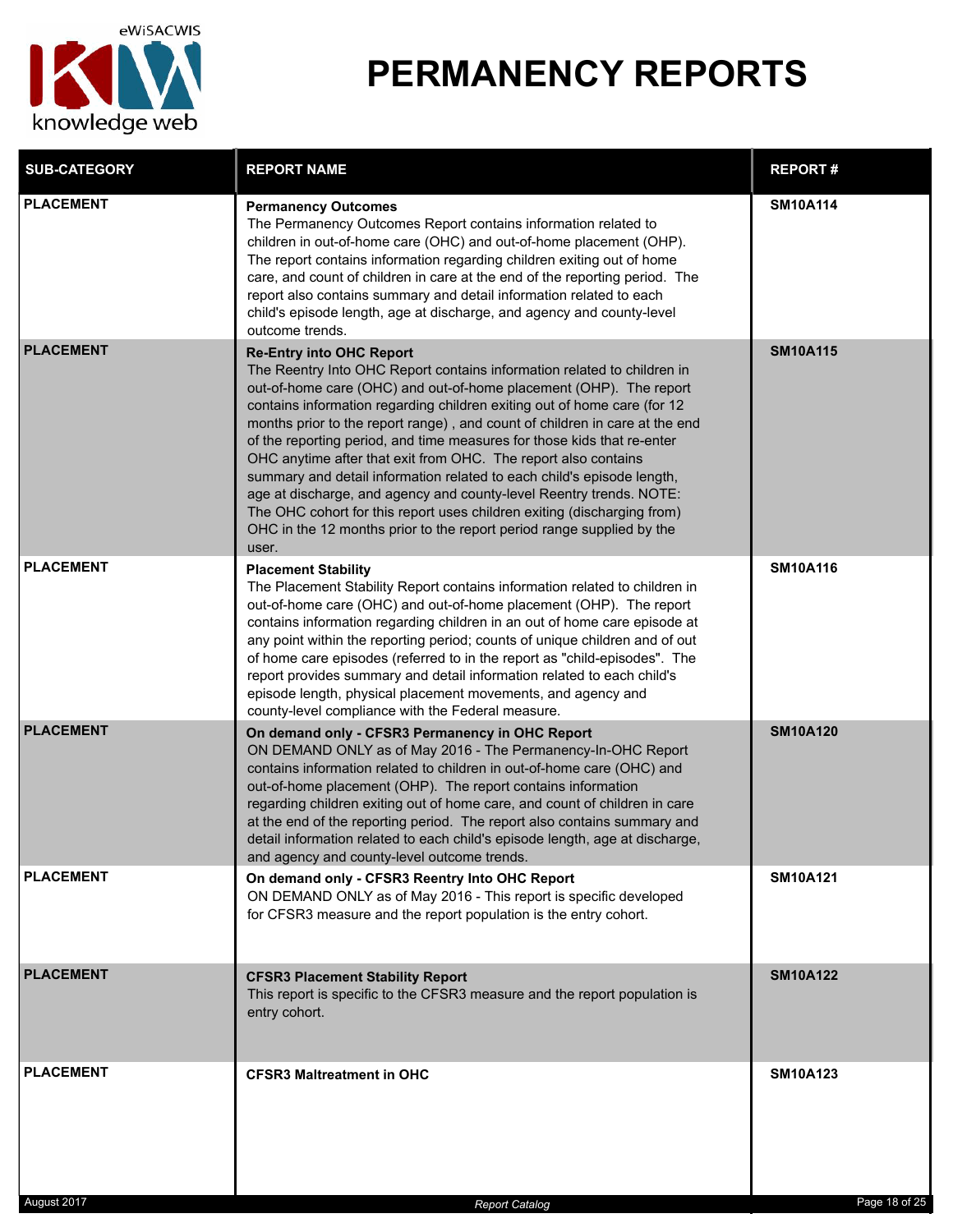

| <b>SUB-CATEGORY</b> | <b>REPORT NAME</b>                                                                                                                                                                                                                                                                                                                                                                                                                                                                                                                                                                                                                                                                                                                                                                                     | <b>REPORT#</b>  |
|---------------------|--------------------------------------------------------------------------------------------------------------------------------------------------------------------------------------------------------------------------------------------------------------------------------------------------------------------------------------------------------------------------------------------------------------------------------------------------------------------------------------------------------------------------------------------------------------------------------------------------------------------------------------------------------------------------------------------------------------------------------------------------------------------------------------------------------|-----------------|
| <b>PLACEMENT</b>    | <b>Permanency Outcomes</b><br>The Permanency Outcomes Report contains information related to<br>children in out-of-home care (OHC) and out-of-home placement (OHP).<br>The report contains information regarding children exiting out of home<br>care, and count of children in care at the end of the reporting period. The<br>report also contains summary and detail information related to each<br>child's episode length, age at discharge, and agency and county-level<br>outcome trends.                                                                                                                                                                                                                                                                                                        | <b>SM10A114</b> |
| <b>PLACEMENT</b>    | <b>Re-Entry into OHC Report</b><br>The Reentry Into OHC Report contains information related to children in<br>out-of-home care (OHC) and out-of-home placement (OHP). The report<br>contains information regarding children exiting out of home care (for 12<br>months prior to the report range), and count of children in care at the end<br>of the reporting period, and time measures for those kids that re-enter<br>OHC anytime after that exit from OHC. The report also contains<br>summary and detail information related to each child's episode length,<br>age at discharge, and agency and county-level Reentry trends. NOTE:<br>The OHC cohort for this report uses children exiting (discharging from)<br>OHC in the 12 months prior to the report period range supplied by the<br>user. | <b>SM10A115</b> |
| <b>PLACEMENT</b>    | <b>Placement Stability</b><br>The Placement Stability Report contains information related to children in<br>out-of-home care (OHC) and out-of-home placement (OHP). The report<br>contains information regarding children in an out of home care episode at<br>any point within the reporting period; counts of unique children and of out<br>of home care episodes (referred to in the report as "child-episodes". The<br>report provides summary and detail information related to each child's<br>episode length, physical placement movements, and agency and<br>county-level compliance with the Federal measure.                                                                                                                                                                                 | <b>SM10A116</b> |
| <b>PLACEMENT</b>    | On demand only - CFSR3 Permanency in OHC Report<br>ON DEMAND ONLY as of May 2016 - The Permanency-In-OHC Report<br>contains information related to children in out-of-home care (OHC) and<br>out-of-home placement (OHP). The report contains information<br>regarding children exiting out of home care, and count of children in care<br>at the end of the reporting period. The report also contains summary and<br>detail information related to each child's episode length, age at discharge,<br>and agency and county-level outcome trends.                                                                                                                                                                                                                                                     | <b>SM10A120</b> |
| <b>PLACEMENT</b>    | On demand only - CFSR3 Reentry Into OHC Report<br>ON DEMAND ONLY as of May 2016 - This report is specific developed<br>for CFSR3 measure and the report population is the entry cohort.                                                                                                                                                                                                                                                                                                                                                                                                                                                                                                                                                                                                                | <b>SM10A121</b> |
| <b>PLACEMENT</b>    | <b>CFSR3 Placement Stability Report</b><br>This report is specific to the CFSR3 measure and the report population is<br>entry cohort.                                                                                                                                                                                                                                                                                                                                                                                                                                                                                                                                                                                                                                                                  | <b>SM10A122</b> |
| <b>PLACEMENT</b>    | <b>CFSR3 Maltreatment in OHC</b>                                                                                                                                                                                                                                                                                                                                                                                                                                                                                                                                                                                                                                                                                                                                                                       | <b>SM10A123</b> |

August 2017 *Report Catalog* Page 18 of 25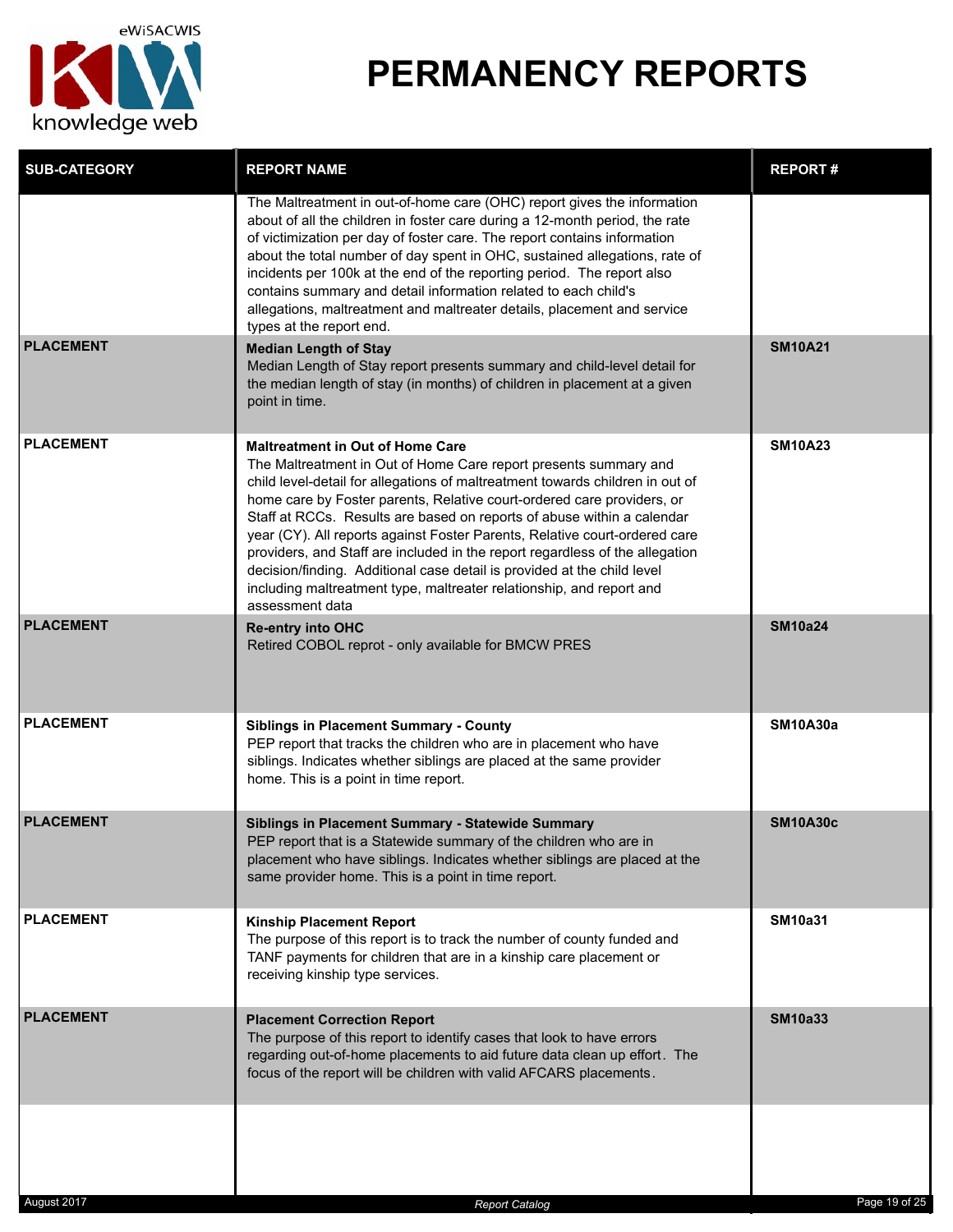

| <b>SUB-CATEGORY</b> | <b>REPORT NAME</b>                                                                                                                                                                                                                                                                                                                                                                                                                                                                                                                                                                                                                                                                   | <b>REPORT#</b>  |
|---------------------|--------------------------------------------------------------------------------------------------------------------------------------------------------------------------------------------------------------------------------------------------------------------------------------------------------------------------------------------------------------------------------------------------------------------------------------------------------------------------------------------------------------------------------------------------------------------------------------------------------------------------------------------------------------------------------------|-----------------|
|                     | The Maltreatment in out-of-home care (OHC) report gives the information<br>about of all the children in foster care during a 12-month period, the rate<br>of victimization per day of foster care. The report contains information<br>about the total number of day spent in OHC, sustained allegations, rate of<br>incidents per 100k at the end of the reporting period. The report also<br>contains summary and detail information related to each child's<br>allegations, maltreatment and maltreater details, placement and service<br>types at the report end.                                                                                                                 |                 |
| <b>PLACEMENT</b>    | <b>Median Length of Stay</b><br>Median Length of Stay report presents summary and child-level detail for<br>the median length of stay (in months) of children in placement at a given<br>point in time.                                                                                                                                                                                                                                                                                                                                                                                                                                                                              | <b>SM10A21</b>  |
| <b>PLACEMENT</b>    | <b>Maltreatment in Out of Home Care</b><br>The Maltreatment in Out of Home Care report presents summary and<br>child level-detail for allegations of maltreatment towards children in out of<br>home care by Foster parents, Relative court-ordered care providers, or<br>Staff at RCCs. Results are based on reports of abuse within a calendar<br>year (CY). All reports against Foster Parents, Relative court-ordered care<br>providers, and Staff are included in the report regardless of the allegation<br>decision/finding. Additional case detail is provided at the child level<br>including maltreatment type, maltreater relationship, and report and<br>assessment data | <b>SM10A23</b>  |
| <b>PLACEMENT</b>    | <b>Re-entry into OHC</b><br>Retired COBOL reprot - only available for BMCW PRES                                                                                                                                                                                                                                                                                                                                                                                                                                                                                                                                                                                                      | <b>SM10a24</b>  |
| <b>PLACEMENT</b>    | <b>Siblings in Placement Summary - County</b><br>PEP report that tracks the children who are in placement who have<br>siblings. Indicates whether siblings are placed at the same provider<br>home. This is a point in time report.                                                                                                                                                                                                                                                                                                                                                                                                                                                  | <b>SM10A30a</b> |
| <b>PLACEMENT</b>    | Siblings in Placement Summary - Statewide Summary<br>PEP report that is a Statewide summary of the children who are in<br>placement who have siblings. Indicates whether siblings are placed at the<br>same provider home. This is a point in time report.                                                                                                                                                                                                                                                                                                                                                                                                                           | <b>SM10A30c</b> |
| <b>PLACEMENT</b>    | <b>Kinship Placement Report</b><br>The purpose of this report is to track the number of county funded and<br>TANF payments for children that are in a kinship care placement or<br>receiving kinship type services.                                                                                                                                                                                                                                                                                                                                                                                                                                                                  | <b>SM10a31</b>  |
| <b>PLACEMENT</b>    | <b>Placement Correction Report</b><br>The purpose of this report to identify cases that look to have errors<br>regarding out-of-home placements to aid future data clean up effort. The<br>focus of the report will be children with valid AFCARS placements.                                                                                                                                                                                                                                                                                                                                                                                                                        | <b>SM10a33</b>  |
|                     |                                                                                                                                                                                                                                                                                                                                                                                                                                                                                                                                                                                                                                                                                      |                 |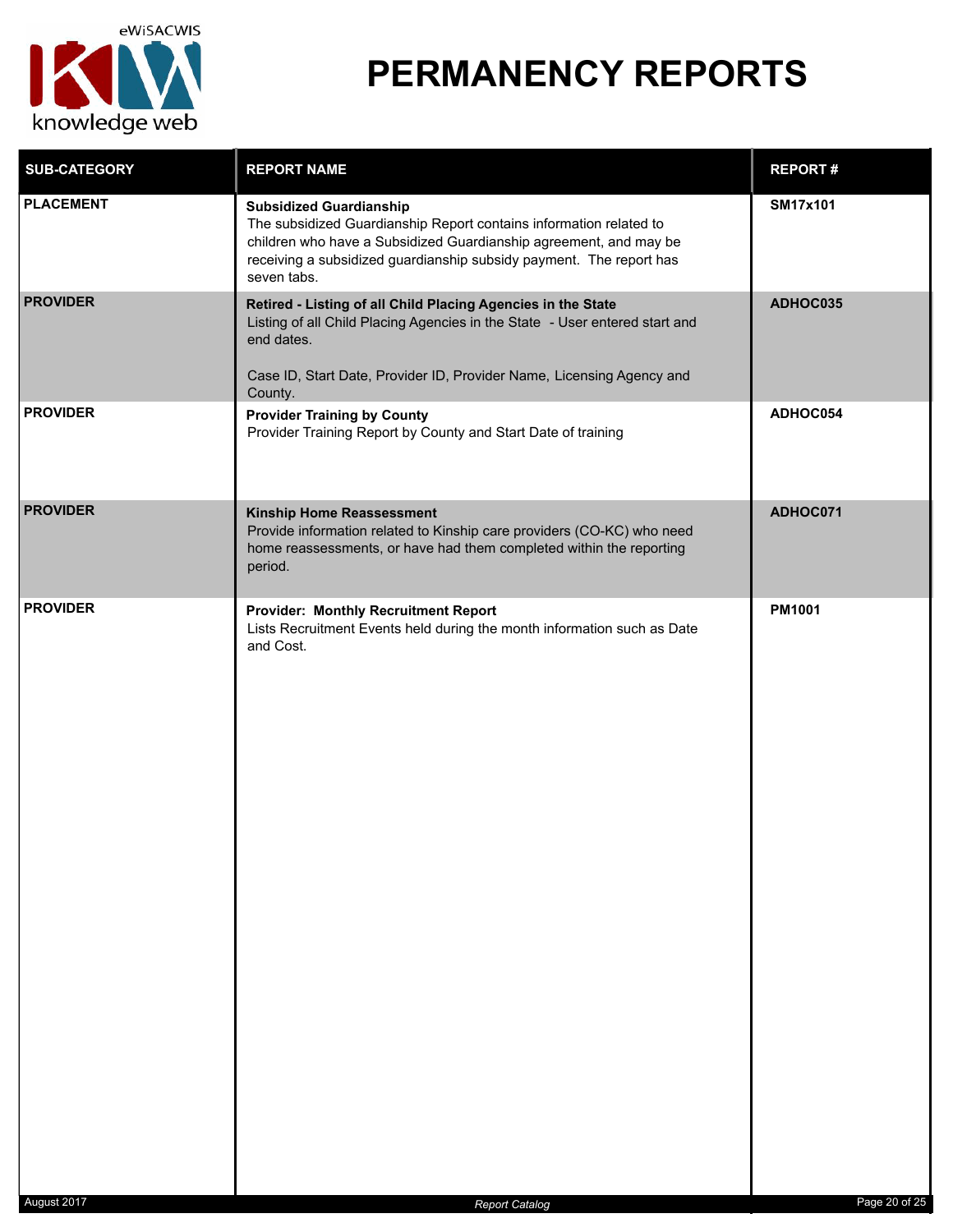

| <b>SUB-CATEGORY</b> | <b>REPORT NAME</b>                                                                                                                                                                                                                                              | <b>REPORT#</b>  |
|---------------------|-----------------------------------------------------------------------------------------------------------------------------------------------------------------------------------------------------------------------------------------------------------------|-----------------|
| <b>PLACEMENT</b>    | <b>Subsidized Guardianship</b><br>The subsidized Guardianship Report contains information related to<br>children who have a Subsidized Guardianship agreement, and may be<br>receiving a subsidized guardianship subsidy payment. The report has<br>seven tabs. | <b>SM17x101</b> |
| <b>PROVIDER</b>     | Retired - Listing of all Child Placing Agencies in the State<br>Listing of all Child Placing Agencies in the State - User entered start and<br>end dates.<br>Case ID, Start Date, Provider ID, Provider Name, Licensing Agency and<br>County.                   | ADHOC035        |
| <b>PROVIDER</b>     | <b>Provider Training by County</b><br>Provider Training Report by County and Start Date of training                                                                                                                                                             | ADHOC054        |
| <b>PROVIDER</b>     | Kinship Home Reassessment<br>Provide information related to Kinship care providers (CO-KC) who need<br>home reassessments, or have had them completed within the reporting<br>period.                                                                           | ADHOC071        |
| <b>PROVIDER</b>     | <b>Provider: Monthly Recruitment Report</b><br>Lists Recruitment Events held during the month information such as Date<br>and Cost.                                                                                                                             | <b>PM1001</b>   |
| August 2017         | <b>Report Catalog</b>                                                                                                                                                                                                                                           | Page 20 of 25   |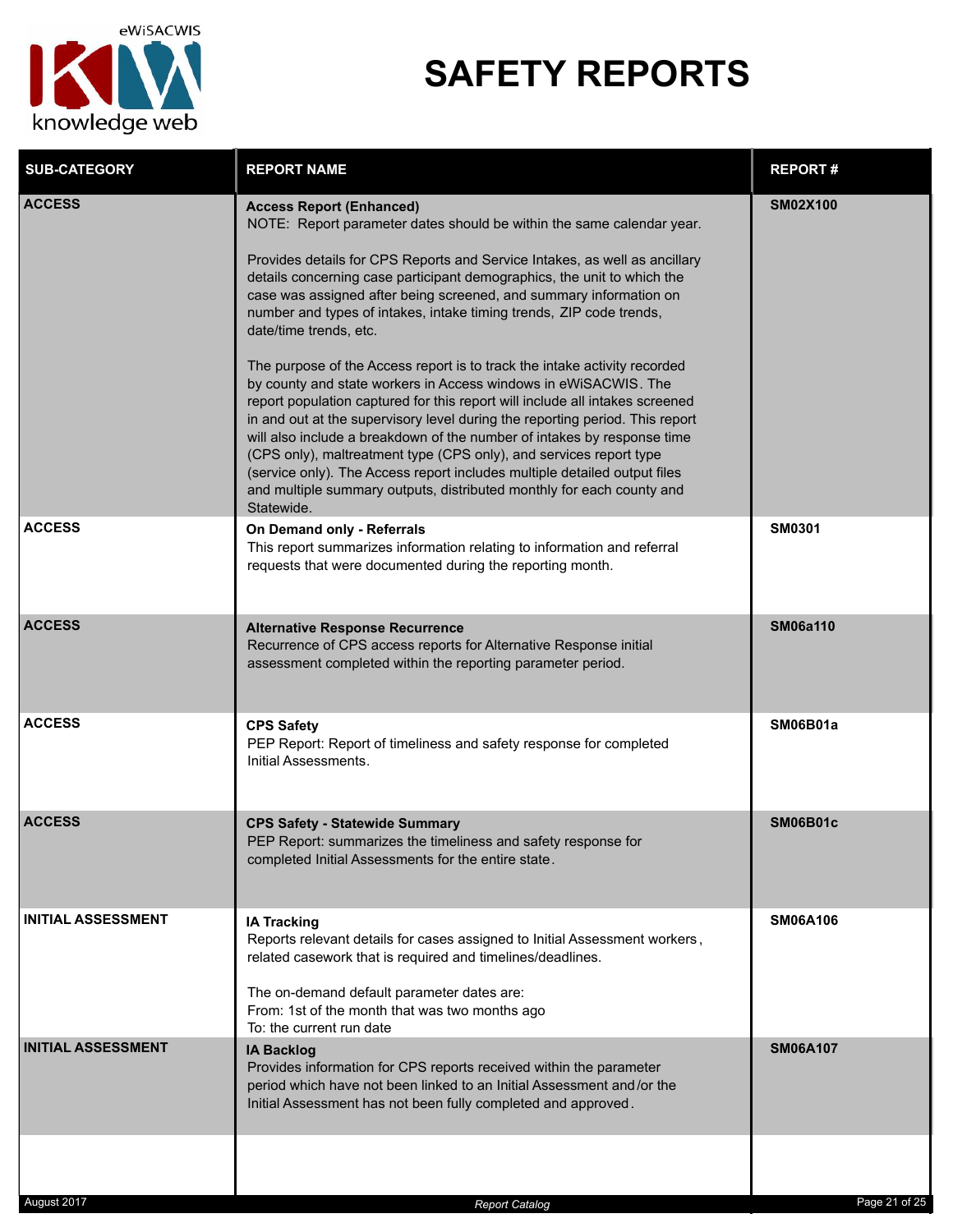

## **SAFETY REPORTS**

| <b>SUB-CATEGORY</b>       | <b>REPORT NAME</b>                                                                                                                                                                                                                                                                                                                                                                                                                                                                                                                                                                                                                                                                                                                                                                                                                                                                                                                                                                                                                                                            | <b>REPORT#</b>  |
|---------------------------|-------------------------------------------------------------------------------------------------------------------------------------------------------------------------------------------------------------------------------------------------------------------------------------------------------------------------------------------------------------------------------------------------------------------------------------------------------------------------------------------------------------------------------------------------------------------------------------------------------------------------------------------------------------------------------------------------------------------------------------------------------------------------------------------------------------------------------------------------------------------------------------------------------------------------------------------------------------------------------------------------------------------------------------------------------------------------------|-----------------|
| <b>ACCESS</b>             | <b>Access Report (Enhanced)</b><br>NOTE: Report parameter dates should be within the same calendar year.<br>Provides details for CPS Reports and Service Intakes, as well as ancillary<br>details concerning case participant demographics, the unit to which the<br>case was assigned after being screened, and summary information on<br>number and types of intakes, intake timing trends, ZIP code trends,<br>date/time trends, etc.<br>The purpose of the Access report is to track the intake activity recorded<br>by county and state workers in Access windows in eWiSACWIS. The<br>report population captured for this report will include all intakes screened<br>in and out at the supervisory level during the reporting period. This report<br>will also include a breakdown of the number of intakes by response time<br>(CPS only), maltreatment type (CPS only), and services report type<br>(service only). The Access report includes multiple detailed output files<br>and multiple summary outputs, distributed monthly for each county and<br>Statewide. | <b>SM02X100</b> |
| <b>ACCESS</b>             | On Demand only - Referrals<br>This report summarizes information relating to information and referral<br>requests that were documented during the reporting month.                                                                                                                                                                                                                                                                                                                                                                                                                                                                                                                                                                                                                                                                                                                                                                                                                                                                                                            | <b>SM0301</b>   |
| <b>ACCESS</b>             | <b>Alternative Response Recurrence</b><br>Recurrence of CPS access reports for Alternative Response initial<br>assessment completed within the reporting parameter period.                                                                                                                                                                                                                                                                                                                                                                                                                                                                                                                                                                                                                                                                                                                                                                                                                                                                                                    | <b>SM06a110</b> |
| <b>ACCESS</b>             | <b>CPS Safety</b><br>PEP Report: Report of timeliness and safety response for completed<br>Initial Assessments.                                                                                                                                                                                                                                                                                                                                                                                                                                                                                                                                                                                                                                                                                                                                                                                                                                                                                                                                                               | SM06B01a        |
| <b>ACCESS</b>             | <b>CPS Safety - Statewide Summary</b><br>PEP Report: summarizes the timeliness and safety response for<br>completed Initial Assessments for the entire state.                                                                                                                                                                                                                                                                                                                                                                                                                                                                                                                                                                                                                                                                                                                                                                                                                                                                                                                 | <b>SM06B01c</b> |
| <b>INITIAL ASSESSMENT</b> | <b>IA Tracking</b><br>Reports relevant details for cases assigned to Initial Assessment workers,<br>related casework that is required and timelines/deadlines.<br>The on-demand default parameter dates are:<br>From: 1st of the month that was two months ago<br>To: the current run date                                                                                                                                                                                                                                                                                                                                                                                                                                                                                                                                                                                                                                                                                                                                                                                    | <b>SM06A106</b> |
| <b>INITIAL ASSESSMENT</b> | <b>IA Backlog</b><br>Provides information for CPS reports received within the parameter<br>period which have not been linked to an Initial Assessment and/or the<br>Initial Assessment has not been fully completed and approved.                                                                                                                                                                                                                                                                                                                                                                                                                                                                                                                                                                                                                                                                                                                                                                                                                                             | <b>SM06A107</b> |
|                           |                                                                                                                                                                                                                                                                                                                                                                                                                                                                                                                                                                                                                                                                                                                                                                                                                                                                                                                                                                                                                                                                               |                 |
| August 2017               | <b>Report Catalog</b>                                                                                                                                                                                                                                                                                                                                                                                                                                                                                                                                                                                                                                                                                                                                                                                                                                                                                                                                                                                                                                                         | Page 21 of 25   |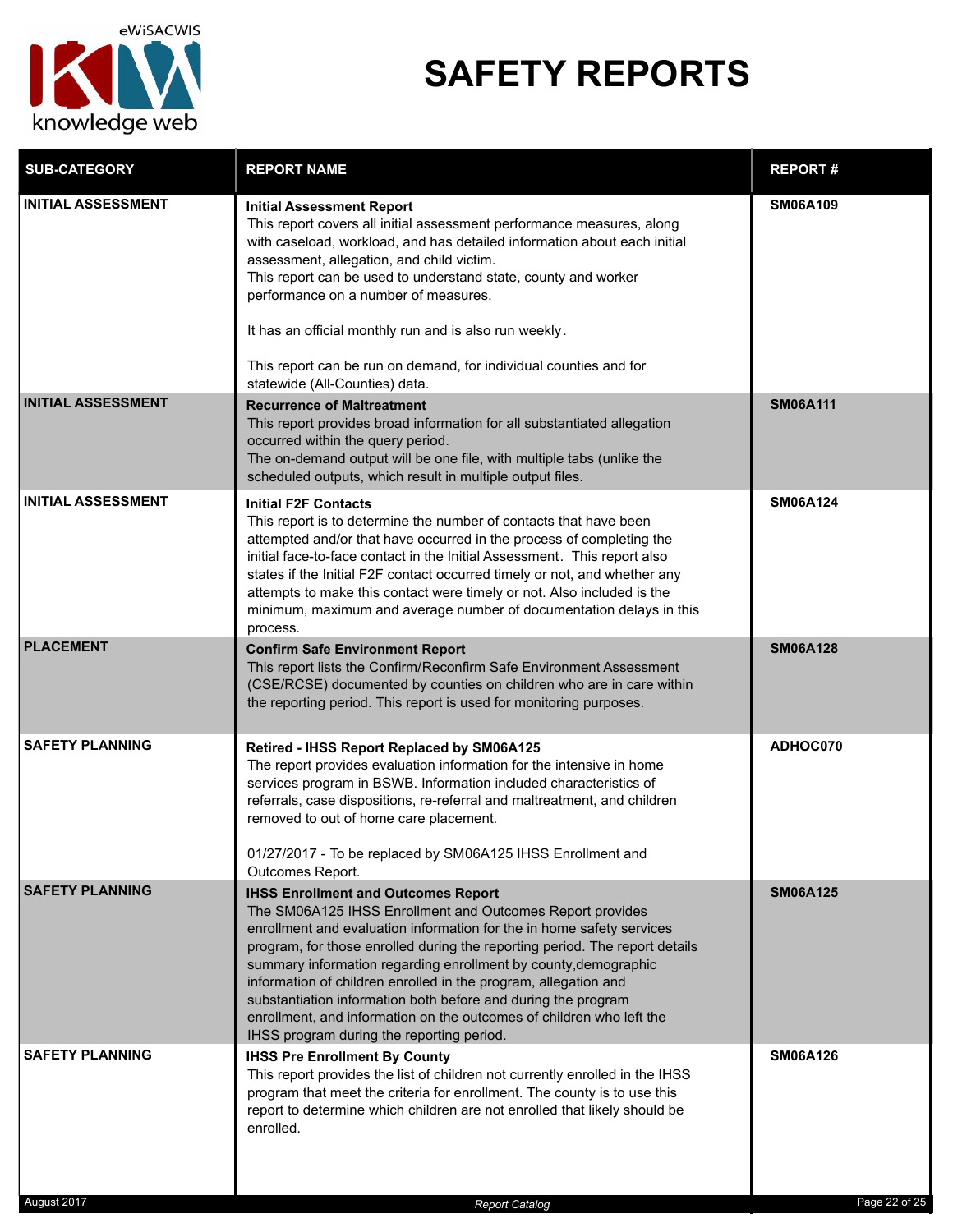

# **SAFETY REPORTS**

| <b>SUB-CATEGORY</b>                   | <b>REPORT NAME</b>                                                                                                                                                                                                                                                                                                                                                                                                                                                                                                                                                                          | <b>REPORT#</b>                   |
|---------------------------------------|---------------------------------------------------------------------------------------------------------------------------------------------------------------------------------------------------------------------------------------------------------------------------------------------------------------------------------------------------------------------------------------------------------------------------------------------------------------------------------------------------------------------------------------------------------------------------------------------|----------------------------------|
| <b>INITIAL ASSESSMENT</b>             | <b>Initial Assessment Report</b><br>This report covers all initial assessment performance measures, along<br>with caseload, workload, and has detailed information about each initial<br>assessment, allegation, and child victim.<br>This report can be used to understand state, county and worker<br>performance on a number of measures.<br>It has an official monthly run and is also run weekly.<br>This report can be run on demand, for individual counties and for<br>statewide (All-Counties) data.                                                                               | <b>SM06A109</b>                  |
| <b>INITIAL ASSESSMENT</b>             | <b>Recurrence of Maltreatment</b><br>This report provides broad information for all substantiated allegation<br>occurred within the query period.<br>The on-demand output will be one file, with multiple tabs (unlike the<br>scheduled outputs, which result in multiple output files.                                                                                                                                                                                                                                                                                                     | <b>SM06A111</b>                  |
| <b>INITIAL ASSESSMENT</b>             | <b>Initial F2F Contacts</b><br>This report is to determine the number of contacts that have been<br>attempted and/or that have occurred in the process of completing the<br>initial face-to-face contact in the Initial Assessment. This report also<br>states if the Initial F2F contact occurred timely or not, and whether any<br>attempts to make this contact were timely or not. Also included is the<br>minimum, maximum and average number of documentation delays in this<br>process.                                                                                              | <b>SM06A124</b>                  |
| <b>PLACEMENT</b>                      | <b>Confirm Safe Environment Report</b><br>This report lists the Confirm/Reconfirm Safe Environment Assessment<br>(CSE/RCSE) documented by counties on children who are in care within<br>the reporting period. This report is used for monitoring purposes.                                                                                                                                                                                                                                                                                                                                 | <b>SM06A128</b>                  |
| <b>SAFETY PLANNING</b>                | Retired - IHSS Report Replaced by SM06A125<br>The report provides evaluation information for the intensive in home<br>services program in BSWB. Information included characteristics of<br>referrals, case dispositions, re-referral and maltreatment, and children<br>removed to out of home care placement.<br>01/27/2017 - To be replaced by SM06A125 IHSS Enrollment and<br>Outcomes Report.                                                                                                                                                                                            | ADHOC070                         |
| <b>SAFETY PLANNING</b>                | <b>IHSS Enrollment and Outcomes Report</b><br>The SM06A125 IHSS Enrollment and Outcomes Report provides<br>enrollment and evaluation information for the in home safety services<br>program, for those enrolled during the reporting period. The report details<br>summary information regarding enrollment by county, demographic<br>information of children enrolled in the program, allegation and<br>substantiation information both before and during the program<br>enrollment, and information on the outcomes of children who left the<br>IHSS program during the reporting period. | <b>SM06A125</b>                  |
| <b>SAFETY PLANNING</b><br>August 2017 | <b>IHSS Pre Enrollment By County</b><br>This report provides the list of children not currently enrolled in the IHSS<br>program that meet the criteria for enrollment. The county is to use this<br>report to determine which children are not enrolled that likely should be<br>enrolled.<br><b>Report Catalog</b>                                                                                                                                                                                                                                                                         | <b>SM06A126</b><br>Page 22 of 25 |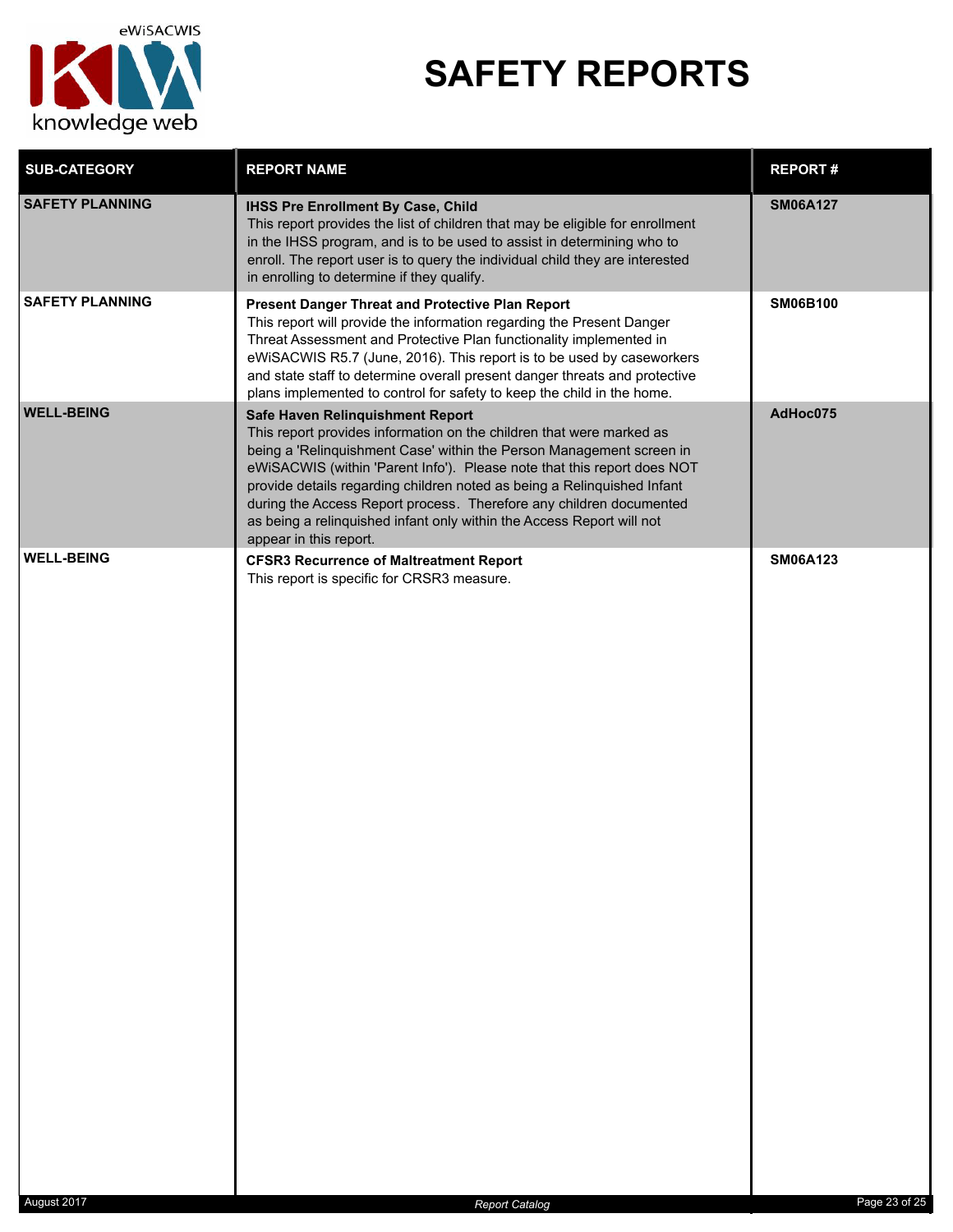

# **SAFETY REPORTS**

| <b>SUB-CATEGORY</b>    | <b>REPORT NAME</b>                                                                                                                                                                                                                                                                                                                                                                                                                                                                                               | <b>REPORT#</b>  |
|------------------------|------------------------------------------------------------------------------------------------------------------------------------------------------------------------------------------------------------------------------------------------------------------------------------------------------------------------------------------------------------------------------------------------------------------------------------------------------------------------------------------------------------------|-----------------|
| <b>SAFETY PLANNING</b> | <b>IHSS Pre Enrollment By Case, Child</b><br>This report provides the list of children that may be eligible for enrollment<br>in the IHSS program, and is to be used to assist in determining who to<br>enroll. The report user is to query the individual child they are interested<br>in enrolling to determine if they qualify.                                                                                                                                                                               | <b>SM06A127</b> |
| <b>SAFETY PLANNING</b> | Present Danger Threat and Protective Plan Report<br>This report will provide the information regarding the Present Danger<br>Threat Assessment and Protective Plan functionality implemented in<br>eWiSACWIS R5.7 (June, 2016). This report is to be used by caseworkers<br>and state staff to determine overall present danger threats and protective<br>plans implemented to control for safety to keep the child in the home.                                                                                 | <b>SM06B100</b> |
| <b>WELL-BEING</b>      | Safe Haven Relinquishment Report<br>This report provides information on the children that were marked as<br>being a 'Relinquishment Case' within the Person Management screen in<br>eWiSACWIS (within 'Parent Info'). Please note that this report does NOT<br>provide details regarding children noted as being a Relinquished Infant<br>during the Access Report process. Therefore any children documented<br>as being a relinquished infant only within the Access Report will not<br>appear in this report. | AdHoc075        |
| <b>WELL-BEING</b>      | <b>CFSR3 Recurrence of Maltreatment Report</b><br>This report is specific for CRSR3 measure.                                                                                                                                                                                                                                                                                                                                                                                                                     | <b>SM06A123</b> |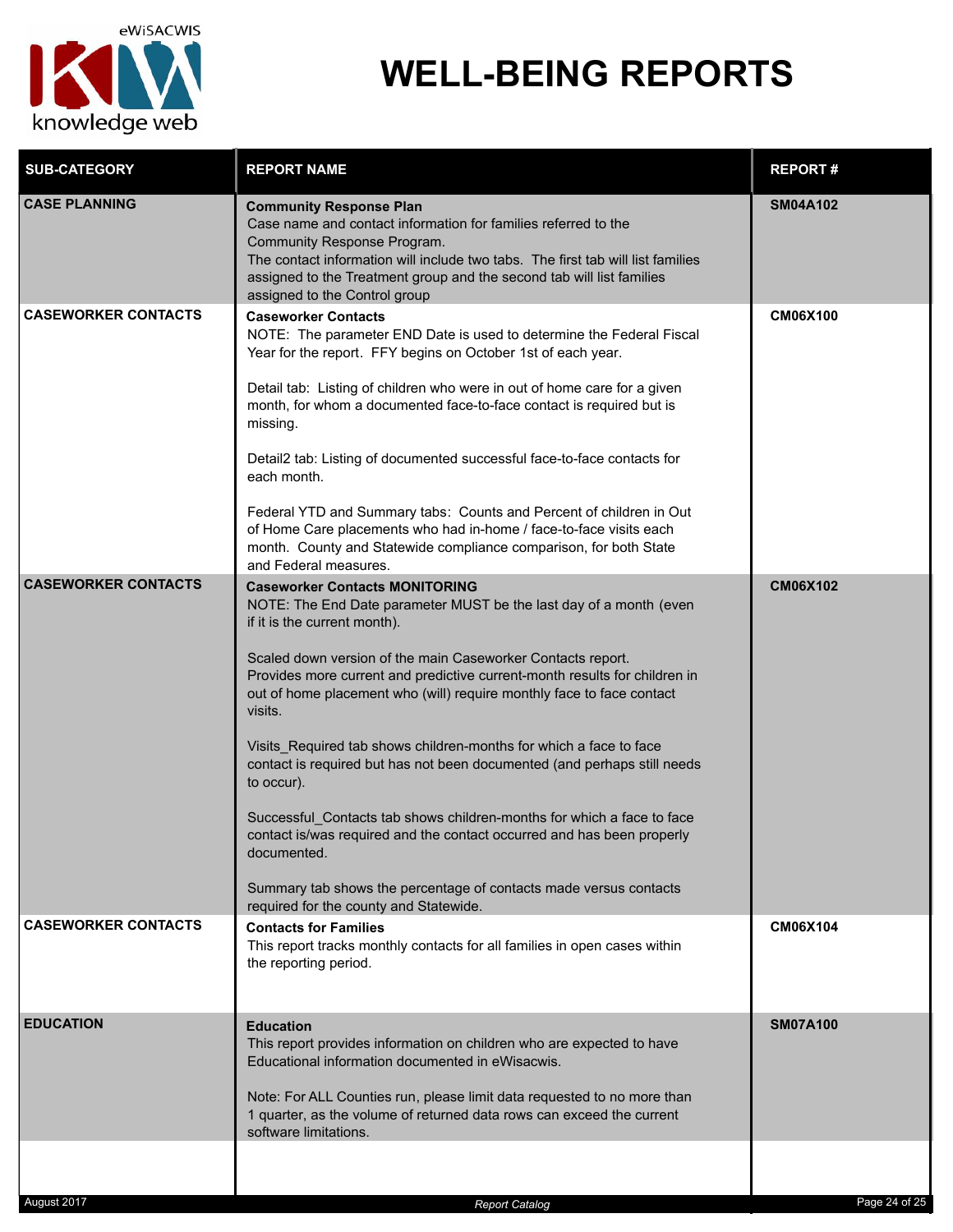

### **WELL-BEING REPORTS**

| <b>SUB-CATEGORY</b>        | <b>REPORT NAME</b>                                                                                                                                                                                                                                                                                                                                                                                                                                                                                                                                                                                                                                                                                                                                                                                                             | <b>REPORT#</b>  |
|----------------------------|--------------------------------------------------------------------------------------------------------------------------------------------------------------------------------------------------------------------------------------------------------------------------------------------------------------------------------------------------------------------------------------------------------------------------------------------------------------------------------------------------------------------------------------------------------------------------------------------------------------------------------------------------------------------------------------------------------------------------------------------------------------------------------------------------------------------------------|-----------------|
| <b>CASE PLANNING</b>       | <b>Community Response Plan</b><br>Case name and contact information for families referred to the<br>Community Response Program.<br>The contact information will include two tabs. The first tab will list families<br>assigned to the Treatment group and the second tab will list families<br>assigned to the Control group                                                                                                                                                                                                                                                                                                                                                                                                                                                                                                   | <b>SM04A102</b> |
| <b>CASEWORKER CONTACTS</b> | <b>Caseworker Contacts</b><br>NOTE: The parameter END Date is used to determine the Federal Fiscal<br>Year for the report. FFY begins on October 1st of each year.<br>Detail tab: Listing of children who were in out of home care for a given<br>month, for whom a documented face-to-face contact is required but is<br>missing.<br>Detail2 tab: Listing of documented successful face-to-face contacts for<br>each month.<br>Federal YTD and Summary tabs: Counts and Percent of children in Out<br>of Home Care placements who had in-home / face-to-face visits each                                                                                                                                                                                                                                                      | <b>CM06X100</b> |
|                            | month. County and Statewide compliance comparison, for both State<br>and Federal measures.                                                                                                                                                                                                                                                                                                                                                                                                                                                                                                                                                                                                                                                                                                                                     |                 |
| <b>CASEWORKER CONTACTS</b> | <b>Caseworker Contacts MONITORING</b><br>NOTE: The End Date parameter MUST be the last day of a month (even<br>if it is the current month).<br>Scaled down version of the main Caseworker Contacts report.<br>Provides more current and predictive current-month results for children in<br>out of home placement who (will) require monthly face to face contact<br>visits.<br>Visits_Required tab shows children-months for which a face to face<br>contact is required but has not been documented (and perhaps still needs<br>to occur).<br>Successful Contacts tab shows children-months for which a face to face<br>contact is/was required and the contact occurred and has been properly<br>documented.<br>Summary tab shows the percentage of contacts made versus contacts<br>required for the county and Statewide. | <b>CM06X102</b> |
| <b>CASEWORKER CONTACTS</b> | <b>Contacts for Families</b><br>This report tracks monthly contacts for all families in open cases within<br>the reporting period.                                                                                                                                                                                                                                                                                                                                                                                                                                                                                                                                                                                                                                                                                             | <b>CM06X104</b> |
| <b>EDUCATION</b>           | <b>Education</b><br>This report provides information on children who are expected to have<br>Educational information documented in eWisacwis.<br>Note: For ALL Counties run, please limit data requested to no more than<br>1 quarter, as the volume of returned data rows can exceed the current<br>software limitations.                                                                                                                                                                                                                                                                                                                                                                                                                                                                                                     | <b>SM07A100</b> |
|                            |                                                                                                                                                                                                                                                                                                                                                                                                                                                                                                                                                                                                                                                                                                                                                                                                                                |                 |